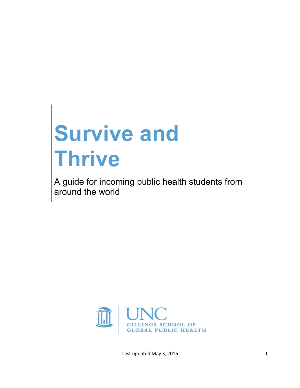# **Survive and Thrive**

A guide for incoming public health students from around the world



Last updated May 3, 2016 1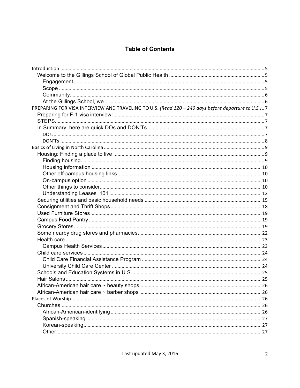## **Table of Contents**

| PREPARING FOR VISA INTERVIEW AND TRAVELING TO U.S. (Read 120 - 240 days before departure to U.S.)7 |  |
|----------------------------------------------------------------------------------------------------|--|
|                                                                                                    |  |
|                                                                                                    |  |
|                                                                                                    |  |
|                                                                                                    |  |
|                                                                                                    |  |
|                                                                                                    |  |
|                                                                                                    |  |
|                                                                                                    |  |
|                                                                                                    |  |
|                                                                                                    |  |
|                                                                                                    |  |
|                                                                                                    |  |
|                                                                                                    |  |
|                                                                                                    |  |
|                                                                                                    |  |
|                                                                                                    |  |
|                                                                                                    |  |
|                                                                                                    |  |
|                                                                                                    |  |
|                                                                                                    |  |
|                                                                                                    |  |
|                                                                                                    |  |
|                                                                                                    |  |
|                                                                                                    |  |
|                                                                                                    |  |
|                                                                                                    |  |
|                                                                                                    |  |
|                                                                                                    |  |
|                                                                                                    |  |
|                                                                                                    |  |
|                                                                                                    |  |
|                                                                                                    |  |
|                                                                                                    |  |
|                                                                                                    |  |
|                                                                                                    |  |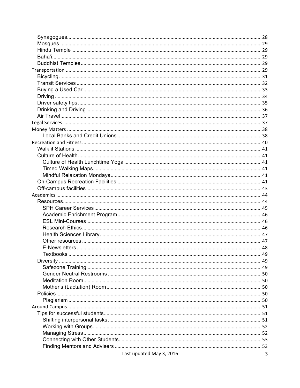| Last updated May 3, 2016 | $\mathbf{3}$ |
|--------------------------|--------------|
|                          |              |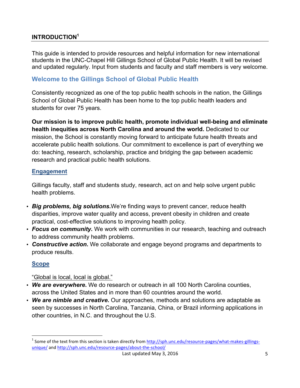## **INTRODUCTION1**

This guide is intended to provide resources and helpful information for new international students in the UNC-Chapel Hill Gillings School of Global Public Health. It will be revised and updated regularly. Input from students and faculty and staff members is very welcome.

## **Welcome to the Gillings School of Global Public Health**

Consistently recognized as one of the top public health schools in the nation, the Gillings School of Global Public Health has been home to the top public health leaders and students for over 75 years.

**Our mission is to improve public health, promote individual well-being and eliminate health inequities across North Carolina and around the world.** Dedicated to our mission, the School is constantly moving forward to anticipate future health threats and accelerate public health solutions. Our commitment to excellence is part of everything we do: teaching, research, scholarship, practice and bridging the gap between academic research and practical public health solutions.

## **Engagement**

Gillings faculty, staff and students study, research, act on and help solve urgent public health problems.

- *Big problems, big solutions***.**We're finding ways to prevent cancer, reduce health disparities, improve water quality and access, prevent obesity in children and create practical, cost-effective solutions to improving health policy.
- *Focus on community***.** We work with communities in our research, teaching and outreach to address community health problems.
- *Constructive action***.** We collaborate and engage beyond programs and departments to produce results.

## **Scope**

## "Global is local, local is global."

 

- *We are everywhere***.** We do research or outreach in all 100 North Carolina counties, across the United States and in more than 60 countries around the world.
- *We are nimble and creative***.** Our approaches, methods and solutions are adaptable as seen by successes in North Carolina, Tanzania, China, or Brazil informing applications in other countries, in N.C. and throughout the U.S.

 $1$  Some of the text from this section is taken directly from  $\frac{http://sph.unc.edu/resource-pages/what-makes-glilings-f.}{}$ unique/ and http://sph.unc.edu/resource-pages/about-the-school/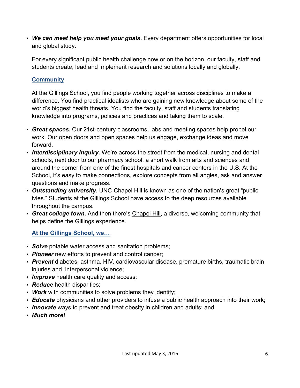• *We can meet help you meet your goals***.** Every department offers opportunities for local and global study.

For every significant public health challenge now or on the horizon, our faculty, staff and students create, lead and implement research and solutions locally and globally.

## **Community**

At the Gillings School, you find people working together across disciplines to make a difference. You find practical idealists who are gaining new knowledge about some of the world's biggest health threats. You find the faculty, staff and students translating knowledge into programs, policies and practices and taking them to scale.

- *Great spaces***.** Our 21st-century classrooms, labs and meeting spaces help propel our work. Our open doors and open spaces help us engage, exchange ideas and move forward.
- *Interdisciplinary inquiry***.** We're across the street from the medical, nursing and dental schools, next door to our pharmacy school, a short walk from arts and sciences and around the corner from one of the finest hospitals and cancer centers in the U.S. At the School, it's easy to make connections, explore concepts from all angles, ask and answer questions and make progress.
- *Outstanding university***.** UNC-Chapel Hill is known as one of the nation's great "public ivies." Students at the Gillings School have access to the deep resources available throughout the campus.
- *Great college town***.** And then there's Chapel Hill, a diverse, welcoming community that helps define the Gillings experience.

# **At the Gillings School, we…**

- *Solve* potable water access and sanitation problems;
- *Pioneer* new efforts to prevent and control cancer;
- *Prevent* diabetes, asthma, HIV, cardiovascular disease, premature births, traumatic brain injuries and interpersonal violence;
- **Improve** health care quality and access;
- *Reduce* health disparities;
- *Work* with communities to solve problems they identify;
- *Educate* physicians and other providers to infuse a public health approach into their work;
- *Innovate* ways to prevent and treat obesity in children and adults; and
- *Much more!*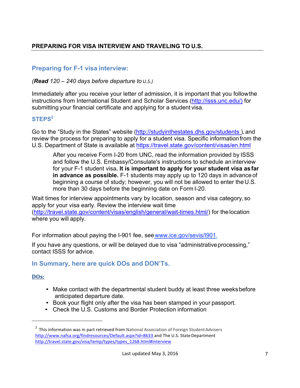# **PREPARING FOR VISA INTERVIEW AND TRAVELING TO U.S.**

# **Preparing for F-1 visa interview:**

## *(Read 120 – 240 days before departure to U.S.)*

Immediately after you receive your letter of admission, it is important that you followthe instructions from International Student and Scholar Services (http://isss.unc.edu/) for submitting your financial certificate and applying for a student visa.

## **STEPS<sup>2</sup>**

Go to the "Study in the States" website (http://studyinthestates.dhs.gov/students), and review the process for preparing to apply for a student visa. Specific information from the U.S. Department of State is available at https://travel.state.gov/content/visas/en.html

After you receive Form I-20 from UNC, read the information provided by ISSS and follow the U.S. Embassy/Consulate's instructions to schedule an interview for your F-1 student visa**. It is important to apply for your student visa asfar in advance as possible.** F-1 students may apply up to 120 days in advance of beginning a course of study; however, you will not be allowed to enter the U.S. more than 30 days before the beginning date on Form I-20.

Wait times for interview appointments vary by location, season and visa category,so apply for your visa early. Review the interview wait time (http://travel.state.gov/content/visas/english/general/wait-times.html/) for thelocation where you will apply.

For information about paying the I-901 fee, seewww.ice.gov/sevis/I901.

If you have any questions, or will be delayed due to visa "administrative processing," contact ISSS for advice.

# **In Summary, here are quick DOs and DON'Ts.**

## **DOs:**

 

- Make contact with the departmental student buddy at least three weeks before anticipated departure date.
- Book your flight only after the visa has been stamped in your passport.
- Check the U.S. Customs and Border Protection information

 $2$  This information was in part retrieved from National Association of Foreign Student Advisers http://www.nafsa.org/findresources/Default.aspx?id=8633 and The U.S. StateDepartment http://travel.state.gov/visa/temp/types/types\_1268.html#interview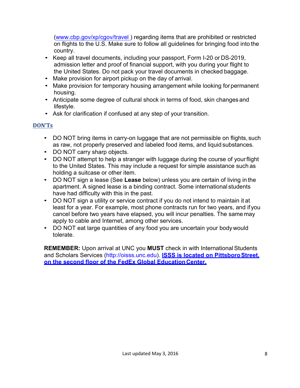(www.cbp.gov/xp/cgov/travel ) regarding items that are prohibited or restricted on flights to the U.S. Make sure to follow all guidelines for bringing food into the country.

- Keep all travel documents, including your passport, Form I-20 or DS-2019, admission letter and proof of financial support, with you during your flight to the United States. Do not pack your travel documents in checked baggage.
- Make provision for airport pickup on the day of arrival.
- Make provision for temporary housing arrangement while looking for permanent housing.
- Anticipate some degree of cultural shock in terms of food, skin changes and lifestyle.
- Ask for clarification if confused at any step of your transition.

## **DON'Ts**

- DO NOT bring items in carry-on luggage that are not permissible on flights, such as raw, not properly preserved and labeled food items, and liquid substances.
- DO NOT carry sharp objects.
- DO NOT attempt to help a stranger with luggage during the course of yourflight to the United States. This may include a request for simple assistance such as holding a suitcase or other item.
- DO NOT sign a lease (See **Lease** below) unless you are certain of living in the apartment. A signed lease is a binding contract. Some international students have had difficulty with this in the past.
- DO NOT sign a utility or service contract if you do not intend to maintain it at least for a year. For example, most phone contracts run for two years, and ifyou cancel before two years have elapsed, you will incur penalties. The same may apply to cable and Internet, among other services.
- DO NOT eat large quantities of any food you are uncertain your bodywould tolerate.

**REMEMBER:** Upon arrival at UNC you **MUST** check in with International Students and Scholars Services (http://oisss.unc.edu). **ISSS is located on PittsboroStreet, on the second floor of the FedEx Global EducationCenter.**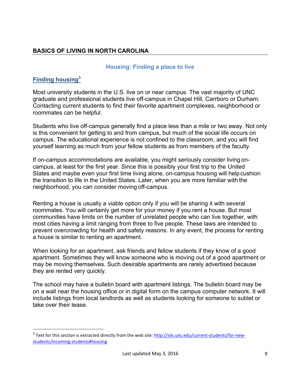## **BASICS OF LIVING IN NORTH CAROLINA**

#### **Housing: Finding a place to live**

## **Finding housing<sup>3</sup>**

<u> 1989 - Johann Barn, mars ann an t-Amhain an t-Amhain an t-Amhain an t-Amhain an t-Amhain an t-Amhain an t-Amh</u>

Most university students in the U.S. live on or near campus. The vast majority of UNC graduate and professional students live off-campus in Chapel Hill, Carrboro or Durham. Contacting current students to find their favorite apartment complexes, neighborhood or roommates can be helpful.

Students who live off-campus generally find a place less than a mile or two away. Not only is this convenient for getting to and from campus, but much of the social life occurs on campus. The educational experience is not confined to the classroom, and you will find yourself learning as much from your fellow students as from members of the faculty.

If on-campus accommodations are available, you might seriously consider living oncampus, at least for the first year. Since this is possibly your first trip to the United States and maybe even your first time living alone, on-campus housing will helpcushion the transition to life in the United States. Later, when you are more familiar with the neighborhood, you can consider moving off-campus.

Renting a house is usually a viable option only if you will be sharing it with several roommates. You will certainly get more for your money if you rent a house. But most communities have limits on the number of unrelated people who can live together, with most cities having a limit ranging from three to five people. These laws are intended to prevent overcrowding for health and safety reasons. In any event, the process for renting a house is similar to renting an apartment.

When looking for an apartment, ask friends and fellow students if they know of a good apartment. Sometimes they will know someone who is moving out of a good apartment or may be moving themselves. Such desirable apartments are rarely advertised because they are rented very quickly.

The school may have a bulletin board with apartment listings. The bulletin board may be on a wall near the housing office or in digital form on the campus computer network. It will include listings from local landlords as well as students looking for someone to sublet or take over their lease.

 $3$  Text for this section is extracted directly from the web site: http://sils.unc.edu/current-students/for-newstudents/incoming-students#housing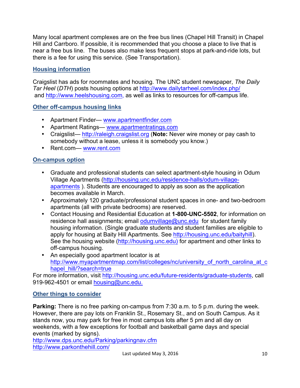Many local apartment complexes are on the free bus lines (Chapel Hill Transit) in Chapel Hill and Carrboro. If possible, it is recommended that you choose a place to live that is near a free bus line. The buses also make less frequent stops at park-and-ride lots, but there is a fee for using this service. (See Transportation).

## **Housing information**

Craigslist has ads for roommates and housing. The UNC student newspaper, *The Daily Tar Heel* (*DTH*) posts housing options at http://www.dailytarheel.com/index.php/ and http://www.heelshousing.com, as well as links to resources for off-campus life.

## **Other off-campus housing links**

- Apartment Finder— www.apartmentfinder.com
- Apartment Ratings— www.apartmentratings.com
- Craigslist— http://raleigh.craigslist.org (**Note:** Never wire money or pay cash to somebody without a lease, unless it is somebody you know.)
- Rent.com— www.rent.com

## **On-campus option**

- Graduate and professional students can select apartment-style housing in Odum Village Apartments (http://housing.unc.edu/residence-halls/odum-villageapartments ). Students are encouraged to apply as soon as the application becomes available in March.
- Approximately 120 graduate/professional student spaces in one- and two-bedroom apartments (all with private bedrooms) are reserved.
- Contact Housing and Residential Education at **1-800-UNC-5502**, for information on residence hall assignments; email odumvillage@unc.edu for student family housing information. (Single graduate students and student families are eligible to apply for housing at Baity Hill Apartments. See http://housing.unc.edu/baityhill). See the housing website (http://housing.unc.edu) for apartment and other links to off-campus housing.
- An especially good apartment locator is at http://www.myapartmentmap.com/list/colleges/nc/university\_of\_north\_carolina\_at\_c hapel\_hill/?search=true

For more information, visit http://housing.unc.edu/future-residents/graduate-students, call 919-962-4501 or email housing@unc.edu.

## **Other things to consider**

**Parking:** There is no free parking on-campus from 7:30 a.m. to 5 p.m. during the week. However, there are pay lots on Franklin St., Rosemary St., and on South Campus. As it stands now, you may park for free in most campus lots after 5 pm and all day on weekends, with a few exceptions for football and basketball game days and special events (marked by signs).

http://www.dps.unc.edu/Parking/parkingnav.cfm http://www.parkonthehill.com/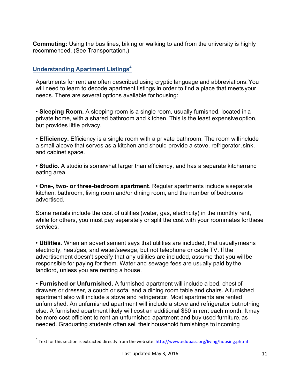**Commuting:** Using the bus lines, biking or walking to and from the university is highly recommended. (See Transportation**.**)

## **Understanding Apartment Listings<sup>4</sup>**

<u> 1989 - Johann Barn, mars ann an t-Amhain an t-Amhain an t-Amhain an t-Amhain an t-Amhain an t-Amhain an t-Amh</u>

Apartments for rent are often described using cryptic language and abbreviations.You will need to learn to decode apartment listings in order to find a place that meets your needs. There are several options available for housing:

• **Sleeping Room.** A sleeping room is a single room, usually furnished, located in a private home, with a shared bathroom and kitchen. This is the least expensiveoption, but provides little privacy.

• **Efficiency.** Efficiency is a single room with a private bathroom. The room will include a small alcove that serves as a kitchen and should provide a stove, refrigerator, sink, and cabinet space.

• **Studio.** A studio is somewhat larger than efficiency, and has a separate kitchenand eating area.

• **One-, two- or three-bedroom apartment**. Regular apartments include aseparate kitchen, bathroom, living room and/or dining room, and the number of bedrooms advertised.

Some rentals include the cost of utilities (water, gas, electricity) in the monthly rent, while for others, you must pay separately or split the cost with your roommates forthese services.

• **Utilities**. When an advertisement says that utilities are included, that usuallymeans electricity, heat/gas, and water/sewage, but not telephone or cable TV. If the advertisement doesn't specify that any utilities are included, assume that you willbe responsible for paying for them. Water and sewage fees are usually paid by the landlord, unless you are renting a house.

• **Furnished or Unfurnished.** A furnished apartment will include a bed, chest of drawers or dresser, a couch or sofa, and a dining room table and chairs. Afurnished apartment also will include a stove and refrigerator. Most apartments are rented unfurnished. An unfurnished apartment will include a stove and refrigerator butnothing else. A furnished apartment likely will cost an additional \$50 in rent each month. Itmay be more cost-efficient to rent an unfurnished apartment and buy used furniture, as needed. Graduating students often sell their household furnishings to incoming

 $4$  Text for this section is extracted directly from the web site: http://www.edupass.org/living/housing.phtml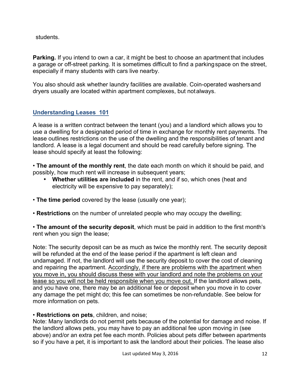students.

**Parking.** If you intend to own a car, it might be best to choose an apartment that includes a garage or off-street parking. It is sometimes difficult to find a parkingspace on the street, especially if many students with cars live nearby.

You also should ask whether laundry facilities are available. Coin-operated washersand dryers usually are located within apartment complexes, but notalways.

## **Understanding Leases 101**

A lease is a written contract between the tenant (you) and a landlord which allows you to use a dwelling for a designated period of time in exchange for monthly rent payments. The lease outlines restrictions on the use of the dwelling and the responsibilities of tenant and landlord. A lease is a legal document and should be read carefully before signing. The lease should specify at least the following:

• **The amount of the monthly rent**, the date each month on which it should be paid, and possibly, how much rent will increase in subsequent years;

- **Whether utilities are included** in the rent, and if so, which ones (heat and electricity will be expensive to pay separately);
- **The time period** covered by the lease (usually one year);
- **Restrictions** on the number of unrelated people who may occupy the dwelling;

• **The amount of the security deposit**, which must be paid in addition to the first month's rent when you sign the lease;

Note: The security deposit can be as much as twice the monthly rent. The security deposit will be refunded at the end of the lease period if the apartment is left clean and undamaged. If not, the landlord will use the security deposit to cover the cost of cleaning and repairing the apartment. Accordingly, if there are problems with the apartment when you move in, you should discuss these with your landlord and note the problems on your lease so you will not be held responsible when you move out. If the landlord allows pets, and you have one, there may be an additional fee or deposit when you move in to cover any damage the pet might do; this fee can sometimes be non-refundable. See below for more information on pets.

## • **Restrictions on pets**, children, and noise;

Note: Many landlords do not permit pets because of the potential for damage and noise. If the landlord allows pets, you may have to pay an additional fee upon moving in (see above) and/or an extra pet fee each month. Policies about pets differ between apartments so if you have a pet, it is important to ask the landlord about their policies. The lease also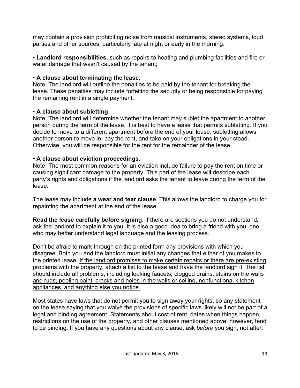may contain a provision prohibiting noise from musical instruments, stereo systems, loud parties and other sources, particularly late at night or early in the morning.

• **Landlord responsibilities**, such as repairs to heating and plumbing facilities and fire or water damage that wasn't caused by the tenant;

## • **A clause about terminating the lease**;

Note: The landlord will outline the penalties to be paid by the tenant for breaking the lease. These penalties may include forfeiting the security or being responsible for paying the remaining rent in a single payment.

## • **A clause about subletting**.

Note: The landlord will determine whether the tenant may sublet the apartment to another person during the term of the lease. It is best to have a lease that permits subletting. If you decide to move to a different apartment before the end of your lease, subletting allows another person to move in, pay the rent, and take on your obligations in your stead. Otherwise, you will be responsible for the rent for the remainder of the lease.

## **• A clause about eviction proceedings**.

Note: The most common reasons for an eviction include failure to pay the rent on time or causing significant damage to the property. This part of the lease will describe each party's rights and obligations if the landlord asks the tenant to leave during the term of the lease.

The lease may include **a wear and tear clause**. This allows the landlord to charge you for repainting the apartment at the end of the lease.

**Read the lease carefully before signing**. If there are sections you do not understand, ask the landlord to explain it to you. It is also a good idea to bring a friend with you, one who may better understand legal language and the leasing process.

Don't be afraid to mark through on the printed form any provisions with which you disagree. Both you and the landlord must initial any changes that either of you makes to the printed lease. If the landlord promises to make certain repairs or there are pre-existing problems with the property, attach a list to the lease and have the landlord sign it. The list should include all problems, including leaking faucets, clogged drains, stains on the walls and rugs, peeling paint, cracks and holes in the walls or ceiling, nonfunctional kitchen appliances, and anything else you notice.

Most states have laws that do not permit you to sign away your rights, so any statement on the lease saying that you waive the provisions of specific laws likely will not be part of a legal and binding agreement. Statements about cost of rent, dates when things happen, restrictions on the use of the property, and other clauses mentioned above, however, tend to be binding. If you have any questions about any clause, ask *before* you sign, not after.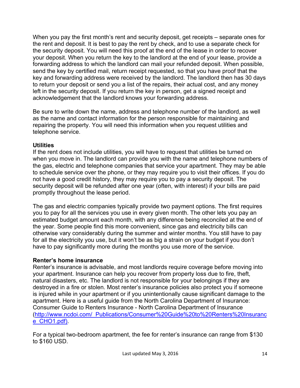When you pay the first month's rent and security deposit, get receipts – separate ones for the rent and deposit. It is best to pay the rent by check, and to use a separate check for the security deposit. You will need this proof at the end of the lease in order to recover your deposit. When you return the key to the landlord at the end of your lease, provide a forwarding address to which the landlord can mail your refunded deposit. When possible, send the key by certified mail, return receipt requested, so that you have proof that the key and forwarding address were received by the landlord. The landlord then has 30 days to return your deposit or send you a list of the repairs, their actual cost, and any money left in the security deposit. If you return the key in person, get a signed receipt and acknowledgement that the landlord knows your forwarding address.

Be sure to write down the name, address and telephone number of the landlord, as well as the name and contact information for the person responsible for maintaining and repairing the property. You will need this information when you request utilities and telephone service.

## **Utilities**

If the rent does not include utilities, you will have to request that utilities be turned on when you move in. The landlord can provide you with the name and telephone numbers of the gas, electric and telephone companies that service your apartment. They may be able to schedule service over the phone, or they may require you to visit their offices. If you do not have a good credit history, they may require you to pay a security deposit. The security deposit will be refunded after one year (often, with interest) if your bills are paid promptly throughout the lease period.

The gas and electric companies typically provide two payment options. The first requires you to pay for all the services you use in every given month. The other lets you pay an estimated budget amount each month, with any difference being reconciled at the end of the year. Some people find this more convenient, since gas and electricity bills can otherwise vary considerably during the summer and winter months. You still have to pay for all the electricity you use, but it won't be as big a strain on your budget if you don't have to pay significantly more during the months you use more of the service.

## **Renter's home insurance**

Renter's insurance is advisable, and most landlords require coverage before moving into your apartment. Insurance can help you recover from property loss due to fire, theft, natural disasters, etc. The landlord is not responsible for your belongings if they are destroyed in a fire or stolen. Most renter's insurance policies also protect you if someone is injured while in your apartment or if you unintentionally cause significant damage to the apartment. Here is a useful guide from the North Carolina Department of Insurance: Consumer Guide to Renters Insurance - North Carolina Department of Insurance (http://www.ncdoi.com/\_Publications/Consumer%20Guide%20to%20Renters%20Insuranc e CHO1.pdf).

For a typical two-bedroom apartment, the fee for renter's insurance can range from \$130 to \$160 USD.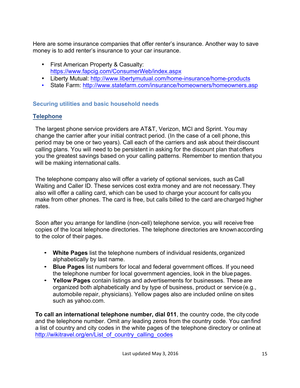Here are some insurance companies that offer renter's insurance. Another way to save money is to add renter's insurance to your car insurance.

- First American Property & Casualty: https://www.fapcig.com/ConsumerWeb/index.aspx
- Liberty Mutual: http://www.libertymutual.com/home-insurance/home-products
- State Farm: http://www.statefarm.com/insurance/homeowners/homeowners.asp

## **Securing utilities and basic household needs**

# **Telephone**

The largest phone service providers are AT&T, Verizon, MCI and Sprint. You may change the carrier after your initial contract period. (In the case of a cell phone, this period may be one or two years). Call each of the carriers and ask about theirdiscount calling plans. You will need to be persistent in asking for the discount plan that offers you the greatest savings based on your calling patterns. Remember to mention thatyou will be making international calls.

The telephone company also will offer a variety of optional services, such as Call Waiting and Caller ID. These services cost extra money and are not necessary.They also will offer a calling card, which can be used to charge your account for calls you make from other phones. The card is free, but calls billed to the card are charged higher rates.

Soon after you arrange for landline (non-cell) telephone service, you will receive free copies of the local telephone directories. The telephone directories are knownaccording to the color of their pages.

- **White Pages** list the telephone numbers of individual residents, organized alphabetically by last name.
- **Blue Pages** list numbers for local and federal government offices. If youneed the telephone number for local government agencies, look in the blue pages.
- **Yellow Pages** contain listings and advertisements for businesses. These are organized both alphabetically and by type of business, product or service(e.g., automobile repair, physicians). Yellow pages also are included online on sites such as yahoo.com.

**To call an international telephone number, dial 011**, the country code, the city code and the telephone number. Omit any leading zeros from the country code. You canfind a list of country and city codes in the white pages of the telephone directory or onlineat http://wikitravel.org/en/List\_of\_country\_calling\_codes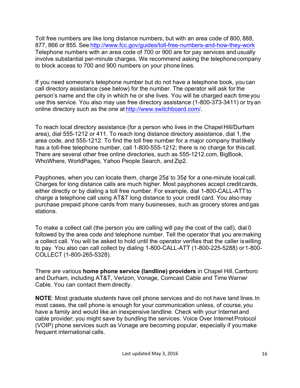Toll free numbers are like long distance numbers, but with an area code of 800, 888, 877, 866 or 855. See http://www.fcc.gov/guides/toll-free-numbers-and-how-they-work Telephone numbers with an area code of 700 or 900 are for pay services and usually involve substantial per-minute charges. We recommend asking the telephonecompany to block access to 700 and 900 numbers on your phone lines.

If you need someone's telephone number but do not have a telephone book, you can call directory assistance (see below) for the number. The operator will ask for the person's name and the city in which he or she lives. You will be charged each time you use this service. You also may use free directory assistance (1-800-373-3411) or tryan online directory such as the one at http://www.switchboard.com/.

To reach local directory assistance (for a person who lives in the ChapelHill/Durham area), dial 555-1212 or 411. To reach long distance directory assistance, dial 1,the area code, and 555-1212. To find the toll free number for a major company thatlikely has a toll-free telephone number, call 1-800-555-1212; there is no charge for thiscall. There are several other free online directories, such as 555-1212.com, BigBook, WhoWhere, WorldPages, Yahoo People Search, and Zip2.

Payphones, when you can locate them, charge 25¢ to 35¢ for a one-minute local call. Charges for long distance calls are much higher. Most payphones accept creditcards, either directly or by dialing a toll free number. For example, dial 1-800-CALL-ATT to charge a telephone call using AT&T long distance to your credit card. You also may purchase prepaid phone cards from many businesses, such as grocery stores andgas stations.

To make a collect call (the person you are calling will pay the cost of the call), dial 0 followed by the area code and telephone number. Tell the operator that you aremaking a collect call. You will be asked to hold until the operator verifies that the caller iswilling to pay. You also can call collect by dialing 1-800-CALL-ATT (1-800-225-5288) or1-800- COLLECT (1-800-265-5328).

There are various **home phone service (landline) providers** in Chapel Hill,Carrboro and Durham, including AT&T, Verizon, Vonage, Comcast Cable and Time Warner Cable. You can contact them directly.

**NOTE**: Most graduate students have cell phone services and do not have land lines.In most cases, the cell phone is enough for your communication unless, of course, you have a family and would like an inexpensive landline. Check with your Internet and cable provider; you might save by bundling the services. Voice Over Internet Protocol (VOIP) phone services such as Vonage are becoming popular, especially if you make frequent international calls.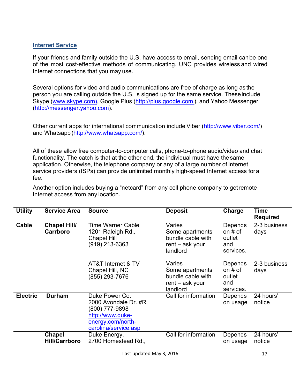## **Internet Service**

If your friends and family outside the U.S. have access to email, sending email canbe one of the most cost-effective methods of communicating. UNC provides wireless and wired Internet connections that you may use.

Several options for video and audio communications are free of charge as long as the person you are calling outside the U.S. is signed up for the same service. Theseinclude Skype (www.skype.com), Google Plus (http://plus.google.com ), and Yahoo Messenger (http://messenger.yahoo.com).

Other current apps for international communication include Viber (http://www.viber.com/) and Whatsapp (http://www.whatsapp.com/).

All of these allow free computer-to-computer calls, phone-to-phone audio/video and chat functionality. The catch is that at the other end, the individual must have thesame application. Otherwise, the telephone company or any of a large number of Internet service providers (ISPs) can provide unlimited monthly high-speed Internet access fora fee.

Another option includes buying a "netcard" from any cell phone company to getremote Internet access from any location.

| <b>Utility</b>  | <b>Service Area</b>                   | <b>Source</b>                                                                                                             | <b>Deposit</b>                                                                  | Charge                                             | Time<br><b>Required</b> |
|-----------------|---------------------------------------|---------------------------------------------------------------------------------------------------------------------------|---------------------------------------------------------------------------------|----------------------------------------------------|-------------------------|
| Cable           | <b>Chapel Hill/</b><br>Carrboro       | Time Warner Cable<br>1201 Raleigh Rd.,<br><b>Chapel Hill</b><br>(919) 213-6363                                            | Varies<br>Some apartments<br>bundle cable with<br>$rent - ask your$<br>landlord | Depends<br>on $#$ of<br>outlet<br>and<br>services. | 2-3 business<br>days    |
|                 |                                       | AT&T Internet & TV<br>Chapel Hill, NC<br>(855) 293-7676                                                                   | Varies<br>Some apartments<br>bundle cable with<br>rent – ask your<br>landlord   | Depends<br>on $#$ of<br>outlet<br>and<br>services. | 2-3 business<br>days    |
| <b>Electric</b> | <b>Durham</b>                         | Duke Power Co.<br>2000 Avondale Dr. #R<br>(800) 777-9898<br>http://www.duke-<br>energy.com/north-<br>carolina/service.asp | Call for information                                                            | Depends<br>on usage                                | 24 hours'<br>notice     |
|                 | <b>Chapel</b><br><b>Hill/Carrboro</b> | Duke Energy.<br>2700 Homestead Rd.,                                                                                       | Call for information                                                            | Depends<br>on usage                                | 24 hours'<br>notice     |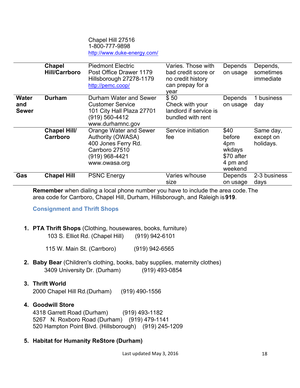#### Chapel Hill 27516 1-800-777-9898 http://www.duke-energy.com/

|                                     | <b>Chapel</b><br><b>Hill/Carrboro</b>  | <b>Piedmont Electric</b><br>Post Office Drawer 1179<br>Hillsborough 27278-1179<br>http://pemc.coop/                     | Varies. Those with<br>bad credit score or<br>no credit history<br>can prepay for a<br>year | Depends<br>on usage                                                  | Depends,<br>sometimes<br>immediate  |
|-------------------------------------|----------------------------------------|-------------------------------------------------------------------------------------------------------------------------|--------------------------------------------------------------------------------------------|----------------------------------------------------------------------|-------------------------------------|
| <b>Water</b><br>and<br><b>Sewer</b> | <b>Durham</b>                          | Durham Water and Sewer<br><b>Customer Service</b><br>101 City Hall Plaza 27701<br>(919) 560-4412<br>www.durhamnc.gov    | \$50<br>Check with your<br>landlord if service is<br>bundled with rent                     | Depends<br>on usage                                                  | 1 business<br>day                   |
|                                     | <b>Chapel Hill/</b><br><b>Carrboro</b> | Orange Water and Sewer<br>Authority (OWASA)<br>400 Jones Ferry Rd.<br>Carrboro 27510<br>(919) 968-4421<br>www.owasa.org | Service initiation<br>fee                                                                  | \$40<br>before<br>4pm<br>wkdays<br>\$70 after<br>4 pm and<br>weekend | Same day,<br>except on<br>holidays. |
| Gas                                 | <b>Chapel Hill</b>                     | <b>PSNC Energy</b>                                                                                                      | Varies w/house<br>size                                                                     | Depends<br>on usage                                                  | 2-3 business<br>days                |

**Remember** when dialing a local phone number you have to include the area code.The area code for Carrboro, Chapel Hill, Durham, Hillsborough, and Raleigh is**919**.

**Consignment and Thrift Shops**

## **1. PTA Thrift Shops** (Clothing, housewares, books, furniture) 103 S. Elliot Rd. (Chapel Hill) (919) 942-6101

115 W. Main St. (Carrboro) (919) 942-6565

**2. Baby Bear** (Children's clothing, books, baby supplies, maternity clothes) 3409 University Dr. (Durham) (919) 493-0854

## **3. Thrift World**

2000 Chapel Hill Rd.(Durham) (919) 490-1556

## **4. Goodwill Store**

4318 Garrett Road (Durham) (919) 493-1182 5267 N. Roxboro Road (Durham) (919) 479-1141 520 Hampton Point Blvd. (Hillsborough) (919) 245-1209

## **5. Habitat for Humanity ReStore (Durham)**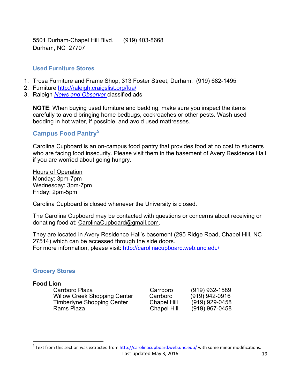5501 Durham-Chapel Hill Blvd. (919) 403-8668 Durham, NC 27707

## **Used Furniture Stores**

- 1. Trosa Furniture and Frame Shop, 313 Foster Street, Durham, (919) 682-1495
- 2. Furniture http://raleigh.craigslist.org/fua/
- 3. Raleigh *News and Observer* classified ads

**NOTE**: When buying used furniture and bedding, make sure you inspect the items carefully to avoid bringing home bedbugs, cockroaches or other pests. Wash used bedding in hot water, if possible, and avoid used mattresses.

## **Campus Food Pantry<sup>5</sup>**

Carolina Cupboard is an on-campus food pantry that provides food at no cost to students who are facing food insecurity. Please visit them in the basement of Avery Residence Hall if you are worried about going hungry.

Hours of Operation Monday: 3pm-7pm Wednesday: 3pm-7pm Friday: 2pm-5pm

Carolina Cupboard is closed whenever the University is closed.

The Carolina Cupboard may be contacted with questions or concerns about receiving or donating food at: CarolinaCupboard@gmail.com.

They are located in Avery Residence Hall's basement (295 Ridge Road, Chapel Hill, NC 27514) which can be accessed through the side doors. For more information, please visit: http://carolinacupboard.web.unc.edu/

## **Grocery Stores**

<u> Andrew Maria (1989)</u>

#### **Food Lion**

Carrboro Plaza Carrboro (919) 932-1589 Willow Creek Shopping Center Carrboro (919) 942-0916<br>Timberlyne Shopping Center Chapel Hill (919) 929-0458 Timberlyne Shopping Center Chapel Hill<br>Rams Plaza<br>Chapel Hill

Chapel Hill (919) 967-0458

Last updated May 3, 2016 19  $5$  Text from this section was extracted from http://carolinacupboard.web.unc.edu/ with some minor modifications.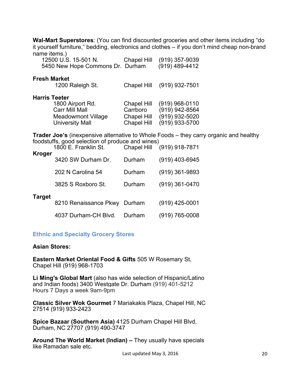**Wal-Mart Superstores**: (You can find discounted groceries and other items including "do it yourself furniture," bedding, electronics and clothes – if you don't mind cheap non-brand name items.)

| 12500 U.S. 15-501 N.<br>5450 New Hope Commons Dr. Durham                                            | Chapel Hill                                           | $(919)$ 357-9039<br>(919) 489-4412                                                                                         |
|-----------------------------------------------------------------------------------------------------|-------------------------------------------------------|----------------------------------------------------------------------------------------------------------------------------|
| <b>Fresh Market</b><br>1200 Raleigh St.                                                             | Chapel Hill                                           | (919) 932-7501                                                                                                             |
| <b>Harris Teeter</b><br>1800 Airport Rd.<br>Carr Mill Mall<br>Meadowmont Village<br>University Mall | Chapel Hill<br>Carrboro<br>Chapel Hill<br>Chapel Hill | $(919)$ 968-0110<br>$(919)$ 942-8564<br>$(919)$ 932-5020<br>$(919)$ 933-5700                                               |
| foodstuffs, good selection of produce and wines)<br>1800 E. Franklin St.                            |                                                       | <b>Trader Joe's</b> (inexpensive alternative to Whole Foods – they carry organic and healthy<br>Chapel Hill (919) 918-7871 |

|        | 1800 E. Franklin St.         |        | Chapel Hill (919) 918-7871 |
|--------|------------------------------|--------|----------------------------|
| Kroger | 3420 SW Durham Dr.           | Durham | $(919)$ 403-6945           |
|        | 202 N Carolina 54            | Durham | $(919)$ 361-9893           |
|        | 3825 S Roxboro St.           | Durham | $(919)$ 361-0470           |
| Target | 8210 Renaissance Pkwy Durham |        | $(919)$ 425-0001           |
|        | 4037 Durham-CH Blvd.         | Durham | $(919) 765 - 0008$         |

#### **Ethnic and Specialty Grocery Stores**

#### **Asian Stores:**

**Eastern Market Oriental Food & Gifts** 505 W Rosemary St, Chapel Hill (919) 968-1703

**Li Ming's Global Mart** (also has wide selection of Hispanic/Latino and Indian foods) 3400 Westgate Dr. Durham (919) 401-5212 Hours 7 Days a week 9am-9pm

**Classic Silver Wok Gourmet** 7 Mariakakis Plaza, Chapel Hill, NC 27514 (919) 933-2423

**Spice Bazaar (Southern Asia)** 4125 Durham Chapel Hill Blvd, Durham, NC 27707 (919) 490-3747

**Around The World Market (Indian) –** They usually have specials like Ramadan sale etc.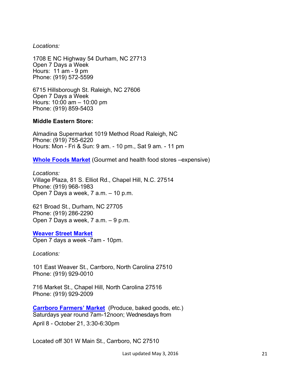*Locations:* 

1708 E NC Highway 54 Durham, NC 27713 Open 7 Days a Week Hours: 11 am - 9 pm Phone: (919) 572-5599

6715 Hillsborough St. Raleigh, NC 27606 Open 7 Days a Week Hours: 10:00 am – 10:00 pm Phone: (919) 859-5403

## **Middle Eastern Store:**

Almadina Supermarket 1019 Method Road Raleigh, NC Phone: (919) 755-6220 Hours: Mon - Fri & Sun: 9 am. - 10 pm., Sat 9 am. - 11 pm

**Whole Foods Market** (Gourmet and health food stores –expensive)

*Locations:* Village Plaza, 81 S. Elliot Rd., Chapel Hill, N.C. 27514 Phone: (919) 968-1983 Open 7 Days a week, 7 a.m. – 10 p.m.

621 Broad St., Durham, NC 27705 Phone: (919) 286-2290 Open 7 Days a week, 7 a.m. – 9 p.m.

## **Weaver Street Market**

Open 7 days a week -7am - 10pm.

*Locations:*

101 East Weaver St., Carrboro, North Carolina 27510 Phone: (919) 929-0010

716 Market St., Chapel Hill, North Carolina 27516 Phone: (919) 929-2009

**Carrboro Farmers' Market** (Produce, baked goods, etc.) Saturdays year round 7am-12noon; Wednesdays from April 8 - October 21, 3:30-6:30pm

Located off 301 W Main St., Carrboro, NC 27510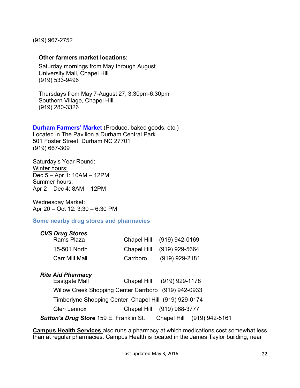(919) 967-2752

## **Other farmers market locations:**

Saturday mornings from May through August University Mall, Chapel Hill (919) 533-9496

Thursdays from May 7-August 27, 3:30pm-6:30pm Southern Village, Chapel Hill (919) 280-3326

# **Durham Farmers' Market** (Produce, baked goods, etc.)

Located in The Pavilion a Durham Central Park 501 Foster Street, Durham NC 27701 (919) 667-309

Saturday's Year Round: Winter hours: Dec 5 – Apr 1: 10AM – 12PM Summer hours: Apr 2 – Dec 4: 8AM – 12PM

Wednesday Market: Apr 20 – Oct 12: 3:30 – 6:30 PM

## **Some nearby drug stores and pharmacies**

| <b>CVS Drug Stores</b> |          |                            |
|------------------------|----------|----------------------------|
| Rams Plaza             |          | Chapel Hill (919) 942-0169 |
| 15-501 North           |          | Chapel Hill (919) 929-5664 |
| <b>Carr Mill Mall</b>  | Carrboro | (919) 929-2181             |

## *Rite Aid Pharmacy*

| Eastgate Mall                                         | Chapel Hill (919) 929-1178 |                            |
|-------------------------------------------------------|----------------------------|----------------------------|
| Willow Creek Shopping Center Carrboro (919) 942-0933  |                            |                            |
| Timberlyne Shopping Center Chapel Hill (919) 929-0174 |                            |                            |
| <b>Glen Lennox</b>                                    | Chapel Hill (919) 968-3777 |                            |
| Sutton's Drug Store 159 E. Franklin St.               |                            | Chapel Hill (919) 942-5161 |

**Campus Health Services** also runs a pharmacy at which medications cost somewhat less than at regular pharmacies. Campus Health is located in the James Taylor building, near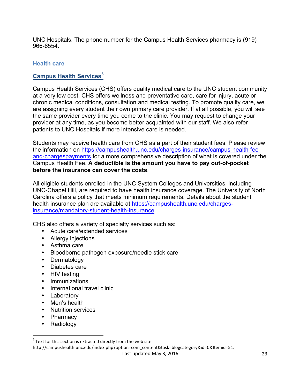UNC Hospitals. The phone number for the Campus Health Services pharmacy is (919) 966-6554.

## **Health care**

## **Campus Health Services<sup>6</sup>**

Campus Health Services (CHS) offers quality medical care to the UNC student community at a very low cost. CHS offers wellness and preventative care, care for injury, acute or chronic medical conditions, consultation and medical testing. To promote quality care, we are assigning every student their own primary care provider. If at all possible, you will see the same provider every time you come to the clinic. You may request to change your provider at any time, as you become better acquainted with our staff. We also refer patients to UNC Hospitals if more intensive care is needed.

Students may receive health care from CHS as a part of their student fees. Please review the information on https://campushealth.unc.edu/charges-insurance/campus-health-feeand-chargespayments for a more comprehensive description of what is covered under the Campus Health Fee. **A deductible is the amount you have to pay out-of-pocket before the insurance can cover the costs**.

All eligible students enrolled in the UNC System Colleges and Universities, including UNC-Chapel Hill, are required to have health insurance coverage. The University of North Carolina offers a policy that meets minimum requirements. Details about the student health insurance plan are available at https://campushealth.unc.edu/chargesinsurance/mandatory-student-health-insurance

CHS also offers a variety of specialty services such as:

- Acute care/extended services
- Allergy injections
- Asthma care
- Bloodborne pathogen exposure/needle stick care
- Dermatology
- Diabetes care
- HIV testing
- Immunizations
- International travel clinic
- **Laboratory**
- Men's health
- Nutrition services

<u> 1989 - Johann Barn, mars ann an t-Amhain an t-Amhain an t-Amhain an t-Amhain an t-Amhain an t-Amhain an t-Amh</u>

- Pharmacy
- Radiology

http://campushealth.unc.edu/index.php?option=com\_content&task=blogcategory&id=0&Itemid=51.

 $6$  Text for this section is extracted directly from the web site: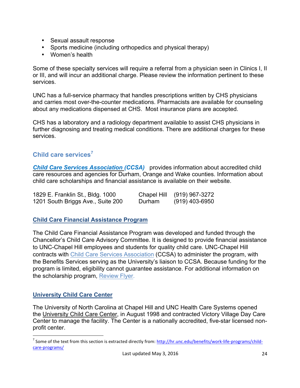- Sexual assault response
- Sports medicine (including orthopedics and physical therapy)
- Women's health

Some of these specialty services will require a referral from a physician seen in Clinics I, II or III, and will incur an additional charge. Please review the information pertinent to these services.

UNC has a full-service pharmacy that handles prescriptions written by CHS physicians and carries most over-the-counter medications. Pharmacists are available for counseling about any medications dispensed at CHS. Most insurance plans are accepted.

CHS has a laboratory and a radiology department available to assist CHS physicians in further diagnosing and treating medical conditions. There are additional charges for these services.

# **Child care services<sup>7</sup>**

**Child Care Services Association** *(CCSA)* provides information about accredited child care resources and agencies for Durham, Orange and Wake counties. Information about child care scholarships and financial assistance is available on their website.

| 1829 E. Franklin St., Bldg. 1000  | Chapel Hill | (919) 967-3272 |
|-----------------------------------|-------------|----------------|
| 1201 South Briggs Ave., Suite 200 | Durham      | (919) 403-6950 |

## **Child Care Financial Assistance Program**

The Child Care Financial Assistance Program was developed and funded through the Chancellor's Child Care Advisory Committee. It is designed to provide financial assistance to UNC-Chapel Hill employees and students for quality child care. UNC-Chapel Hill contracts with Child Care Services Association (CCSA) to administer the program, with the Benefits Services serving as the University's liaison to CCSA. Because funding for the program is limited, eligibility cannot guarantee assistance. For additional information on the scholarship program, Review Flyer.

## **University Child Care Center**

<u> 1989 - Johann Barn, mars ann an t-Amhain an t-Amhain an t-Amhain an t-Amhain an t-Amhain an t-Amhain an t-Amh</u>

The University of North Carolina at Chapel Hill and UNC Health Care Systems opened the University Child Care Center, in August 1998 and contracted Victory Village Day Care Center to manage the facility. The Center is a nationally accredited, five-star licensed nonprofit center.

 $^7$  Some of the text from this section is extracted directly from: http://hr.unc.edu/benefits/work-life-programs/childcare-programs/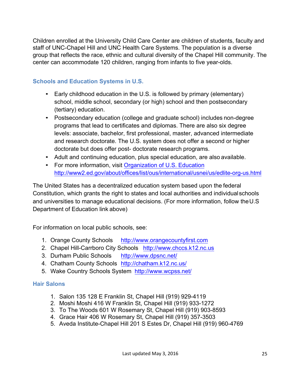Children enrolled at the University Child Care Center are children of students, faculty and staff of UNC-Chapel Hill and UNC Health Care Systems. The population is a diverse group that reflects the race, ethnic and cultural diversity of the Chapel Hill community. The center can accommodate 120 children, ranging from infants to five year-olds.

## **Schools and Education Systems in U.S.**

- Early childhood education in the U.S. is followed by primary (elementary) school, middle school, secondary (or high) school and then postsecondary (tertiary) education.
- Postsecondary education (college and graduate school) includes non-degree programs that lead to certificates and diplomas. There are also six degree levels: associate, bachelor, first professional, master, advanced intermediate and research doctorate. The U.S. system does not offer a second or higher doctorate but does offer post- doctorate research programs.
- Adult and continuing education, plus special education, are also available.
- For more information, visit Organization of U.S. Education http://www2.ed.gov/about/offices/list/ous/international/usnei/us/edlite-org-us.html

The United States has a decentralized education system based upon the federal Constitution, which grants the right to states and local authorities and individualschools and universities to manage educational decisions. (For more information, follow theU.S Department of Education link above)

For information on local public schools, see:

- 1. Orange County Schools http://www.orangecountyfirst.com
- 2. Chapel Hill-Carrboro City Schools http://www.chccs.k12.nc.us
- 3. Durham Public Schools http://www.dpsnc.net/
- 4. Chatham County Schools http://chatham.k12.nc.us/
- 5. Wake Country Schools System http://www.wcpss.net/

## **Hair Salons**

- 1. Salon 135 128 E Franklin St, Chapel Hill (919) 929-4119
- 2. Moshi Moshi 416 W Franklin St, Chapel Hill (919) 933-1272
- 3. To The Woods 601 W Rosemary St, Chapel Hill (919) 903-8593
- 4. Grace Hair 406 W Rosemary St, Chapel Hill (919) 357-3503
- 5. Aveda Institute-Chapel Hill 201 S Estes Dr, Chapel Hill (919) 960-4769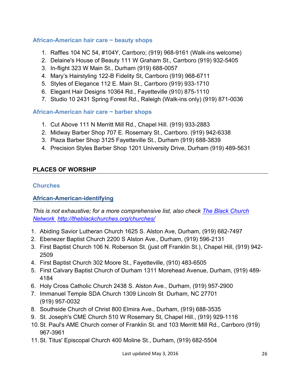## **African-American hair care ~ beauty shops**

- 1. Raffles 104 NC 54, #104Y, Carrboro; (919) 968-9161 (Walk-ins welcome)
- 2. Delaine's House of Beauty 111 W Graham St., Carrboro (919) 932-5405
- 3. In-flight 323 W Main St., Durham (919) 688-0057
- 4. Mary's Hairstyling 122-B Fidelity St, Carrboro (919) 968-6711
- 5. Styles of Elegance 112 E. Main St., Carrboro (919) 933-1710
- 6. Elegant Hair Designs 10364 Rd., Fayetteville (910) 875-1110
- 7. Studio 10 2431 Spring Forest Rd., Raleigh (Walk-ins only) (919) 871-0036

## **African-American hair care ~ barber shops**

- 1. Cut Above 111 N Merritt Mill Rd., Chapel Hill. (919) 933-2883
- 2. Midway Barber Shop 707 E. Rosemary St., Carrboro. (919) 942-6338
- 3. Plaza Barber Shop 3125 Fayetteville St., Durham (919) 688-3839
- 4. Precision Styles Barber Shop 1201 University Drive, Durham (919) 489-5631

## **PLACES OF WORSHIP**

## **Churches**

## **African-American-identifying**

*This is not exhaustive; for a more comprehensive list, also check The Black Church Network http://theblackchurches.org/churches/*

- 1. Abiding Savior Lutheran Church 1625 S. Alston Ave, Durham, (919) 682-7497
- 2. Ebenezer Baptist Church 2200 S Alston Ave., Durham, (919) 596-2131
- 3. First Baptist Church 106 N. Roberson St. (just off Franklin St.), Chapel Hill, (919) 942- 2509
- 4. First Baptist Church 302 Moore St., Fayetteville, (910) 483-6505
- 5. First Calvary Baptist Church of Durham 1311 Morehead Avenue, Durham, (919) 489- 4184
- 6. Holy Cross Catholic Church 2438 S. Alston Ave., Durham, (919) 957-2900
- 7. Immanuel Temple SDA Church 1309 Lincoln St Durham, NC 27701 (919) 957-0032
- 8. Southside Church of Christ 800 Elmira Ave., Durham, (919) 688-3535
- 9. St. Joseph's CME Church 510 W Rosemary St, Chapel Hill., (919) 929-1116
- 10.St. Paul's AME Church corner of Franklin St. and 103 Merritt Mill Rd., Carrboro (919) 967-3961
- 11.St. Titus' Episcopal Church 400 Moline St., Durham, (919) 682-5504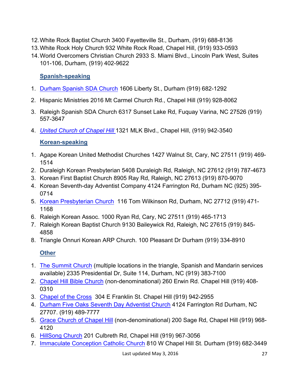- 12.White Rock Baptist Church 3400 Fayetteville St., Durham, (919) 688-8136
- 13.White Rock Holy Church 932 White Rock Road, Chapel Hill, (919) 933-0593
- 14.World Overcomers Christian Church 2933 S. Miami Blvd., Lincoln Park West, Suites 101-106, Durham, (919) 402-9622

# **Spanish-speaking**

- 1. Durham Spanish SDA Church 1606 Liberty St., Durham (919) 682-1292
- 2. Hispanic Ministries 2016 Mt Carmel Church Rd., Chapel Hill (919) 928-8062
- 3. Raleigh Spanish SDA Church 6317 Sunset Lake Rd, Fuquay Varina, NC 27526 (919) 557-3647
- 4. *United Church of Chapel Hill* 1321 MLK Blvd., Chapel Hill, (919) 942-3540

# **Korean-speaking**

- 1. Agape Korean United Methodist Churches 1427 Walnut St, Cary, NC 27511 (919) 469- 1514
- 2. Duraleigh Korean Presbyterian 5408 Duraleigh Rd, Raleigh, NC 27612 (919) 787-4673
- 3. Korean First Baptist Church 8905 Ray Rd, Raleigh, NC 27613 (919) 870-9070
- 4. Korean Seventh-day Adventist Company 4124 Farrington Rd, Durham NC (925) 395- 0714
- 5. Korean Presbyterian Church 116 Tom Wilkinson Rd, Durham, NC 27712 (919) 471- 1168
- 6. Raleigh Korean Assoc. 1000 Ryan Rd, Cary, NC 27511 (919) 465-1713
- 7. Raleigh Korean Baptist Church 9130 Baileywick Rd, Raleigh, NC 27615 (919) 845- 4858
- 8. Triangle Onnuri Korean ARP Church. 100 Pleasant Dr Durham (919) 334-8910

# **Other**

- 1. The Summit Church (multiple locations in the triangle, Spanish and Mandarin services available) 2335 Presidential Dr, Suite 114, Durham, NC (919) 383-7100
- 2. Chapel Hill Bible Church (non-denominational) 260 Erwin Rd. Chapel Hill (919) 408- 0310
- 3. Chapel of the Cross 304 E Franklin St. Chapel Hill (919) 942-2955
- 4. Durham Five Oaks Seventh Day Adventist Church 4124 Farrington Rd Durham, NC 27707. (919) 489-7777
- 5. Grace Church of Chapel Hill (non-denominational) 200 Sage Rd, Chapel Hill (919) 968- 4120
- 6. HillSong Church 201 Culbreth Rd, Chapel Hill (919) 967-3056
- 7. Immaculate Conception Catholic Church 810 W Chapel Hill St. Durham (919) 682-3449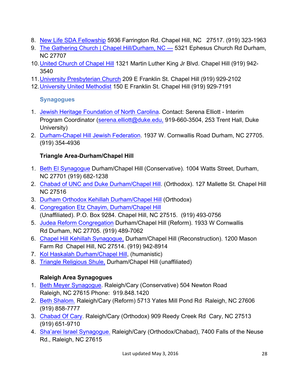- 8. New Life SDA Fellowship 5936 Farrington Rd. Chapel Hill, NC 27517. (919) 323-1963
- 9. The Gathering Church | Chapel Hill/Durham, NC 5321 Ephesus Church Rd Durham, NC 27707
- 10.United Church of Chapel Hill 1321 Martin Luther King Jr Blvd. Chapel Hill (919) 942- 3540
- 11.University Presbyterian Church 209 E Franklin St. Chapel Hill (919) 929-2102
- 12.University United Methodist 150 E Franklin St. Chapel Hill (919) 929-7191

# **Synagogues**

- 1. Jewish Heritage Foundation of North Carolina. Contact: Serena Elliott Interim Program Coordinator (serena.elliott@duke.edu, 919-660-3504, 253 Trent Hall, Duke University)
- 2. Durham-Chapel Hill Jewish Federation. 1937 W. Cornwallis Road Durham, NC 27705. (919) 354-4936

# **Triangle Area-Durham/Chapel Hill**

- 1. Beth El Synagogue Durham/Chapel Hill (Conservative). 1004 Watts Street, Durham, NC 27701 (919) 682-1238
- 2. Chabad of UNC and Duke Durham/Chapel Hill. (Orthodox). 127 Mallette St. Chapel Hill NC 27516
- 3. Durham Orthodox Kehillah Durham/Chapel Hill (Orthodox)
- 4. Congregation Etz Chayim, Durham/Chapel Hill (Unaffiliated). P.O. Box 9284. Chapel Hill, NC 27515. (919) 493-0756
- 5. Judea Reform Congregation Durham/Chapel Hill (Reform). 1933 W Cornwallis Rd Durham, NC 27705. (919) 489-7062
- 6. Chapel Hill Kehillah Synagogue, Durham/Chapel Hill (Reconstruction). 1200 Mason Farm Rd Chapel Hill, NC 27514. (919) 942-8914
- 7. Kol Haskalah Durham/Chapel Hill, (humanistic)
- 8. Triangle Religious Shule, Durham/Chapel Hill (unaffiliated)

# **Raleigh Area Synagogues**

- 1. Beth Meyer Synagogue. Raleigh/Cary (Conservative) 504 Newton Road Raleigh, NC 27615 Phone: 919.848.1420
- 2. Beth Shalom. Raleigh/Cary (Reform) 5713 Yates Mill Pond Rd Raleigh, NC 27606 (919) 858-7777
- 3. Chabad Of Cary. Raleigh/Cary (Orthodox) 909 Reedy Creek Rd Cary, NC 27513 (919) 651-9710
- 4. Sha'arei Israel Synagogue. Raleigh/Cary (Orthodox/Chabad), 7400 Falls of the Neuse Rd., Raleigh, NC 27615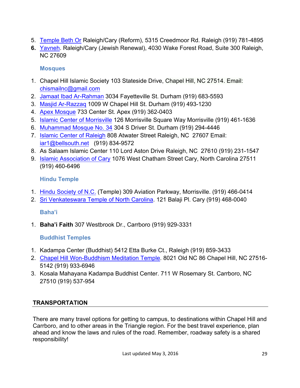- 5. Temple Beth Or Raleigh/Cary (Reform), 5315 Creedmoor Rd. Raleigh (919) 781-4895
- **6.** Yavneh. Raleigh/Cary (Jewish Renewal), 4030 Wake Forest Road, Suite 300 Raleigh, NC 27609

# **Mosques**

- 1. Chapel Hill Islamic Society 103 Stateside Drive, Chapel Hill, NC 27514. Email: chismailnc@gmail.com
- 2. Jamaat Ibad Ar-Rahman 3034 Fayetteville St. Durham (919) 683-5593
- 3. Masjid Ar-Razzaq 1009 W Chapel Hill St. Durham (919) 493-1230
- 4. Apex Mosque 733 Center St. Apex (919) 362-0403
- 5. Islamic Center of Morrisville 126 Morrisville Square Way Morrisville (919) 461-1636
- 6. Muhammad Mosque No. 34 304 S Driver St. Durham (919) 294-4446
- 7. Islamic Center of Raleigh 808 Atwater Street Raleigh, NC 27607 Email: iar1@bellsouth.net (919) 834-9572
- 8. As Salaam Islamic Center 110 Lord Aston Drive Raleigh, NC 27610 (919) 231-1547
- 9. Islamic Association of Cary 1076 West Chatham Street Cary, North Carolina 27511 (919) 460-6496

# **Hindu Temple**

- 1. Hindu Society of N.C. (Temple) 309 Aviation Parkway, Morrisville. (919) 466-0414
- 2. Sri Venkateswara Temple of North Carolina. 121 Balaji Pl. Cary (919) 468-0040

# **Baha'i**

1. **Baha'i Faith** 307 Westbrook Dr., Carrboro (919) 929-3331

# **Buddhist Temples**

- 1. Kadampa Center (Buddhist) 5412 Etta Burke Ct., Raleigh (919) 859-3433
- 2. Chapel Hill Won-Buddhism Meditation Temple. 8021 Old NC 86 Chapel Hill, NC 27516- 5142 (919) 933-6946
- 3. Kosala Mahayana Kadampa Buddhist Center. 711 W Rosemary St. Carrboro, NC 27510 (919) 537-954

# **TRANSPORTATION**

There are many travel options for getting to campus, to destinations within Chapel Hill and Carrboro, and to other areas in the Triangle region. For the best travel experience, plan ahead and know the laws and rules of the road. Remember, roadway safety is a shared responsibility!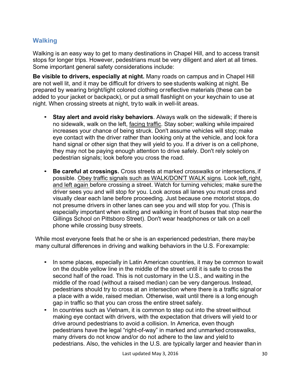# **Walking**

Walking is an easy way to get to many destinations in Chapel Hill, and to access transit stops for longer trips. However, pedestrians must be very diligent and alert at all times. Some important general safety considerations include:

**Be visible to drivers, especially at night.** Many roads on campus and in Chapel Hill are not well lit, and it may be difficult for drivers to see students walking at night. Be prepared by wearing bright/light colored clothing orreflective materials (these can be added to your jacket or backpack), or put a small flashlight on your keychain to use at night. When crossing streets at night, tryto walk in well-lit areas.

- **Stay alert and avoid risky behaviors**. Always walk on the sidewalk; if there is no sidewalk, walk on the left, facing traffic. Stay sober; walking while impaired increases your chance of being struck. Don't assume vehicles will stop; make eye contact with the driver rather than looking only at the vehicle, and look fora hand signal or other sign that they will yield to you. If a driver is on a cellphone, they may not be paying enough attention to drive safely. Don't rely solely on pedestrian signals; look before you cross the road.
- **Be careful at crossings.** Cross streets at marked crosswalks or intersections, if possible. Obey traffic signals such as WALK/DON'T WALK signs. Look left, right, and left again before crossing a street. Watch for turning vehicles; make surethe driver sees you and will stop for you. Look across all lanes you must cross and visually clear each lane before proceeding. Just because one motorist stops, do not presume drivers in other lanes can see you and will stop for you. (This is especially important when exiting and walking in front of buses that stop nearthe Gillings School on Pittsboro Street). Don't wear headphones or talk on a cell phone while crossing busy streets.

While most everyone feels that he or she is an experienced pedestrian, there maybe many cultural differences in driving and walking behaviors in the U.S. Forexample:

- In some places, especially in Latin American countries, it may be common towait on the double yellow line in the middle of the street until it is safe to cross the second half of the road. This is not customary in the U.S., and waiting in the middle of the road (without a raised median) can be very dangerous. Instead, pedestrians should try to cross at an intersection where there is a traffic signal or a place with a wide, raised median. Otherwise, wait until there is a long enough gap in traffic so that you can cross the entire street safely.
- In countries such as Vietnam, it is common to step out into the street without making eye contact with drivers, with the expectation that drivers will yield to or drive around pedestrians to avoid a collision. In America, even though pedestrians have the legal "right-of-way" in marked and unmarked crosswalks, many drivers do not know and/or do not adhere to the law and yield to pedestrians. Also, the vehicles in the U.S. are typically larger and heavier thanin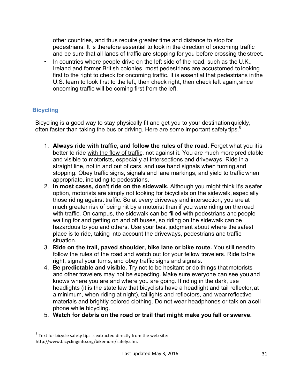other countries, and thus require greater time and distance to stop for pedestrians. It is therefore essential to look in the direction of oncoming traffic and be sure that all lanes of traffic are stopping for you before crossing thestreet.

• In countries where people drive on the left side of the road, such as the U.K., Ireland and former British colonies, most pedestrians are accustomed to looking first to the right to check for oncoming traffic. It is essential that pedestrians inthe U.S. learn to look first to the left, then check right, then check left again, since oncoming traffic will be coming first from the left.

## **Bicycling**

Bicycling is a good way to stay physically fit and get you to your destinationquickly, often faster than taking the bus or driving. Here are some important safety tips. $8$ 

- 1. **Always ride with traffic, and follow the rules of the road.** Forget what you itis better to ride with the flow of traffic, not against it. You are much morepredictable and visible to motorists, especially at intersections and driveways. Ride in a straight line, not in and out of cars, and use hand signals when turning and stopping. Obey traffic signs, signals and lane markings, and yield to traffic when appropriate, including to pedestrians.
- 2. **In most cases, don't ride on the sidewalk.** Although you might think it's asafer option, motorists are simply not looking for bicyclists on the sidewalk, especially those riding against traffic. So at every driveway and intersection, you are at much greater risk of being hit by a motorist than if you were riding on the road with traffic. On campus, the sidewalk can be filled with pedestrians and people waiting for and getting on and off buses, so riding on the sidewalk can be hazardous to you and others. Use your best judgment about where the safest place is to ride, taking into account the driveways, pedestrians and traffic situation.
- 3. **Ride on the trail, paved shoulder, bike lane or bike route.** You still need to follow the rules of the road and watch out for your fellow travelers. Ride tothe right, signal your turns, and obey traffic signs and signals.
- 4. **Be predictable and visible.** Try not to be hesitant or do things that motorists and other travelers may not be expecting. Make sure everyone can see you and knows where you are and where you are going. If riding in the dark, use headlights (it is the state law that bicyclists have a headlight and tail reflector, at a minimum, when riding at night), taillights and reflectors, and wear reflective materials and brightly colored clothing. Do not wear headphones or talk on acell phone while bicycling.
- 5. **Watch for debris on the road or trail that might make you fall or swerve.**

<u> 1989 - Johann Barn, mars ann an t-Amhain an t-Amhain an t-Amhain an t-Amhain an t-Amhain an t-Amhain an t-Amh</u>

 $8$  Text for bicycle safety tips is extracted directly from the web site: http://www.bicyclinginfo.org/bikemore/safely.cfm.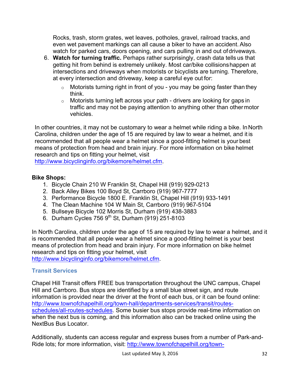Rocks, trash, storm grates, wet leaves, potholes, gravel, railroad tracks, and even wet pavement markings can all cause a biker to have an accident. Also watch for parked cars, doors opening, and cars pulling in and out ofdriveways.

- 6. **Watch for turning traffic.** Perhaps rather surprisingly, crash data tells us that getting hit from behind is extremely unlikely. Most car/bike collisionshappen at intersections and driveways when motorists or bicyclists are turning. Therefore, at every intersection and driveway, keep a careful eye out for:
	- $\circ$  Motorists turning right in front of you you may be going faster than they think.
	- o Motorists turning left across your path drivers are looking for gaps in traffic and may not be paying attention to anything other than othermotor vehicles.

In other countries, it may not be customary to wear a helmet while riding a bike. InNorth Carolina, children under the age of 15 are required by law to wear a helmet, and it is recommended that all people wear a helmet since a good-fitting helmet is your best means of protection from head and brain injury. For more information on bike helmet research and tips on fitting your helmet, visit

http://www.bicyclinginfo.org/bikemore/helmet.cfm.

## **Bike Shops:**

- 1. Bicycle Chain 210 W Franklin St, Chapel Hill (919) 929-0213
- 2. Back Alley Bikes 100 Boyd St, Carrboro (919) 967-7777
- 3. Performance Bicycle 1800 E. Franklin St, Chapel Hill (919) 933-1491
- 4. The Clean Machine 104 W Main St, Carrboro (919) 967-5104
- 5. Bullseye Bicycle 102 Morris St, Durham (919) 438-3883
- 6. Durham Cycles 756 9<sup>th</sup> St, Durham (919) 251-8103

In North Carolina, children under the age of 15 are required by law to wear a helmet, and it is recommended that all people wear a helmet since a good-fitting helmet is your best means of protection from head and brain injury. For more information on bike helmet research and tips on fitting your helmet, visit http://www.bicyclinginfo.org/bikemore/helmet.cfm.

## **Transit Services**

Chapel Hill Transit offers FREE bus transportation throughout the UNC campus, Chapel Hill and Carrboro. Bus stops are identified by a small blue street sign, and route information is provided near the driver at the front of each bus, or it can be found online: http://www.townofchapelhill.org/town-hall/departments-services/transit/routesschedules/all-routes-schedules. Some busier bus stops provide real-time information on when the next bus is coming, and this information also can be tracked online using the NextBus Bus Locator.

Additionally, students can access regular and express buses from a number of Park-and-Ride lots; for more information, visit: http://www.townofchapelhill.org/town-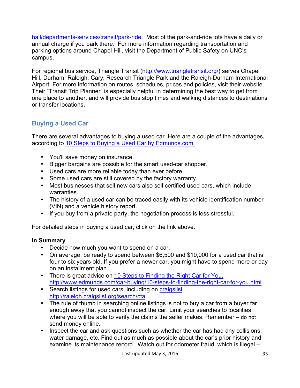hall/departments-services/transit/park-ride. Most of the park-and-ride lots have a daily or annual charge if you park there. For more information regarding transportation and parking options around Chapel Hill, visit the Department of Public Safety on UNC's campus.

For regional bus service, Triangle Transit (http://www.triangletransit.org/) serves Chapel Hill, Durham, Raleigh, Cary, Research Triangle Park and the Raleigh-Durham International Airport. For more information on routes, schedules, prices and policies, visit their website. Their "Transit Trip Planner" is especially helpful in determining the best way to get from one place to another, and will provide bus stop times and walking distances to destinations or transfer locations.

# **Buying a Used Car**

There are several advantages to buying a used car. Here are a couple of the advantages, according to 10 Steps to Buying a Used Car by Edmunds.com.

- You'll save money on insurance.
- Bigger bargains are possible for the smart used-car shopper.
- Used cars are more reliable today than ever before.
- Some used cars are still covered by the factory warranty.
- Most businesses that sell new cars also sell certified used cars, which include warranties.
- The history of a used car can be traced easily with its vehicle identification number (VIN) and a vehicle history report.
- If you buy from a private party, the negotiation process is less stressful.

For detailed steps in buying a used car, click on the link above.

## **In Summary**

- Decide how much you want to spend on a car.
- On average, be ready to spend between \$6,500 and \$10,000 for a used car that is four to six years old. If you prefer a newer car, you might have to spend more or pay on an installment plan.
- There is great advice on 10 Steps to Finding the Right Car for You. http://www.edmunds.com/car-buying/10-steps-to-finding-the-right-car-for-you.html
- Search listings for used cars, including on craigslist. http://raleigh.craigslist.org/search/cta
- The rule of thumb in searching online listings is not to buy a car from a buyer far enough away that you cannot inspect the car. Limit your searches to localities where you will be able to verify the claims the seller makes. Remember – do not send money online.
- Inspect the car and ask questions such as whether the car has had any collisions, water damage, etc. Find out as much as possible about the car's prior history and examine its maintenance record. Watch out for odometer fraud, which is illegal –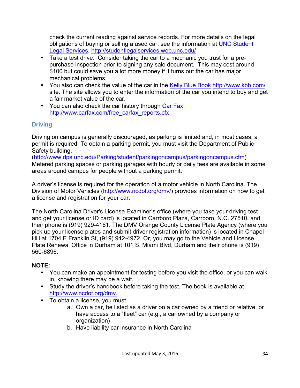check the current reading against service records. For more details on the legal obligations of buying or selling a used car, see the information at UNC Student Legal Services. http://studentlegalservices.web.unc.edu/

- Take a test drive. Consider taking the car to a mechanic you trust for a prepurchase inspection prior to signing any sale document. This may cost around \$100 but could save you a lot more money if it turns out the car has major mechanical problems.
- You also can check the value of the car in the Kelly Blue Book http://www.kbb.com/ site. The site allows you to enter the information of the car you intend to buy and get a fair market value of the car.
- You can also check the car history through Car Fax. http://www.carfax.com/free\_carfax\_reports.cfx

## **Driving**

Driving on campus is generally discouraged, as parking is limited and, in most cases, a permit is required. To obtain a parking permit, you must visit the Department of Public Safety building.

(http://www.dps.unc.edu/Parking/student/parkingoncampus/parkingoncampus.cfm) Metered parking spaces or parking garages with hourly or daily fees are available in some areas around campus for people without a parking permit.

A driver's license is required for the operation of a motor vehicle in North Carolina. The Division of Motor Vehicles (http://www.ncdot.org/dmv/) provides information on how to get a license and registration for your car.

The North Carolina Driver's License Examiner's office (where you take your driving test and get your license or ID card) is located in Carrboro Plaza, Carrboro, N.C. 27510, and their phone is (919) 929-4161. The DMV Orange County License Plate Agency (where you pick up your license plates and submit driver registration information) is located in Chapel Hill at 1704 E Franklin St, (919) 942-4972. Or, you may go to the Vehicle and License Plate Renewal Office in Durham at 101 S. Miami Blvd, Durham and their phone is (919) 560-6896.

## **NOTE:**

- You can make an appointment for testing before you visit the office, or you can walk in, knowing there may be a wait.
- Study the driver's handbook before taking the test. The book is available at http://www.ncdot.org/dmv.
- To obtain a license, you must
	- a. Own a car, be listed as a driver on a car owned by a friend or relative, or have access to a "fleet" car (e.g., a car owned by a company or organization)
	- b. Have liability car insurance in North Carolina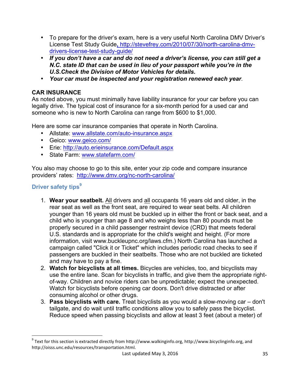- To prepare for the driver's exam, here is a very useful North Carolina DMV Driver's License Test Study Guide**,** http://stevefrey.com/2010/07/30/north-carolina-dmvdrivers-license-test-study-guide/
- *If you don't have a car and do not need a driver's license, you can still get a N.C. state ID that can be used in lieu of your passport while you're in the U.S.Check the Division of Motor Vehicles for details.*
- *Your car must be inspected and your registration renewed each year.*

## **CAR INSURANCE**

As noted above, you must minimally have liability insurance for your car before you can legally drive. The typical cost of insurance for a six-month period for a used car and someone who is new to North Carolina can range from \$600 to \$1,000.

Here are some car insurance companies that operate in North Carolina.

- Allstate: www.allstate.com/auto-insurance.aspx
- Geico: www.geico.com/
- Erie: http://auto.erieinsurance.com/Default.aspx
- State Farm: www.statefarm.com/

You also may choose to go to this site, enter your zip code and compare insurance providers' rates: http://www.dmv.org/nc-north-carolina/

## **Driver safety tips<sup>9</sup>**

 

- 1. **Wear your seatbelt.** All drivers and all occupants 16 years old and older, in the rear seat as well as the front seat, are required to wear seat belts. All children younger than 16 years old must be buckled up in either the front or back seat, and a child who is younger than age 8 and who weighs less than 80 pounds must be properly secured in a child passenger restraint device (CRD) that meets federal U.S. standards and is appropriate for the child's weight and height. (For more information, visit www.buckleupnc.org/laws.cfm.) North Carolina has launched a campaign called "Click it or Ticket" which includes periodic road checks to see if passengers are buckled in their seatbelts. Those who are not buckled are ticketed and may have to pay a fine.
- 2. **Watch for bicyclists at all times.** Bicycles are vehicles, too, and bicyclists may use the entire lane. Scan for bicyclists in traffic, and give them the appropriate rightof-way. Children and novice riders can be unpredictable; expect the unexpected. Watch for bicyclists before opening car doors. Don't drive distracted or after consuming alcohol or other drugs.
- 3. **Pass bicyclists with care.** Treat bicyclists as you would a slow-moving car don't tailgate, and do wait until traffic conditions allow you to safely pass the bicyclist. Reduce speed when passing bicyclists and allow at least 3 feet (about a meter) of

 $^9$  Text for this section is extracted directly from http://www.walkinginfo.org, http://www.bicyclinginfo.org, and http://oisss.unc.edu/resources/transportation.html.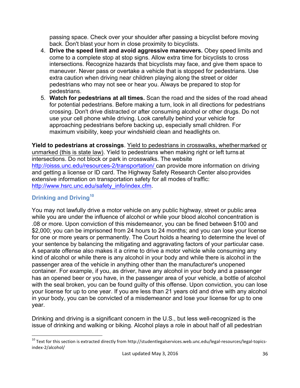passing space. Check over your shoulder after passing a bicyclist before moving back. Don't blast your horn in close proximity to bicyclists.

- 4. **Drive the speed limit and avoid aggressive maneuvers.** Obey speed limits and come to a complete stop at stop signs. Allow extra time for bicyclists to cross intersections. Recognize hazards that bicyclists may face, and give them space to maneuver. Never pass or overtake a vehicle that is stopped for pedestrians. Use extra caution when driving near children playing along the street or older pedestrians who may not see or hear you. Always be prepared to stop for pedestrians.
- 5. **Watch for pedestrians at all times.** Scan the road and the sides of the road ahead for potential pedestrians. Before making a turn, look in all directions for pedestrians crossing. Don't drive distracted or after consuming alcohol or other drugs. Do not use your cell phone while driving. Look carefully behind your vehicle for approaching pedestrians before backing up, especially small children. For maximum visibility, keep your windshield clean and headlights on.

**Yield to pedestrians at crossings**. Yield to pedestrians in crosswalks, whethermarked or unmarked (this is state law). Yield to pedestrians when making right or left turns at intersections. Do not block or park in crosswalks. The website http://oisss.unc.edu/resources-2/transportation/ can provide more information on driving and getting a license or ID card. The Highway Safety Research Center also provides extensive information on transportation safety for all modes of traffic: http://www.hsrc.unc.edu/safety\_info/index.cfm.

## **Drinking and Driving<sup>10</sup>**

 

You may not lawfully drive a motor vehicle on any public highway, street or public area while you are under the influence of alcohol or while your blood alcohol concentration is .08 or more. Upon conviction of this misdemeanor, you can be fined between \$100 and \$2,000; you can be imprisoned from 24 hours to 24 months; and you can lose your license for one or more years or permanently. The Court holds a hearing to determine the level of your sentence by balancing the mitigating and aggravating factors of your particular case. A separate offense also makes it a crime to drive a motor vehicle while consuming any kind of alcohol or while there is any alcohol in your body and while there is alcohol in the passenger area of the vehicle in anything other than the manufacturer's unopened container. For example, if you, as driver, have any alcohol in your body and a passenger has an opened beer or you have, in the passenger area of your vehicle, a bottle of alcohol with the seal broken, you can be found guilty of this offense. Upon conviction, you can lose your license for up to one year. If you are less than 21 years old and drive with any alcohol in your body, you can be convicted of a misdemeanor and lose your license for up to one year.

Drinking and driving is a significant concern in the U.S., but less well-recognized is the issue of drinking and walking or biking. Alcohol plays a role in about half of all pedestrian

 $^{10}$  Text for this section is extracted directly from http://studentlegalservices.web.unc.edu/legal-resources/legal-topicsindex-2/alcohol/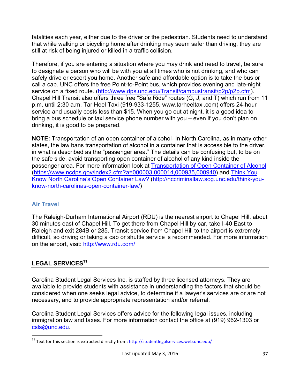fatalities each year, either due to the driver or the pedestrian. Students need to understand that while walking or bicycling home after drinking may seem safer than driving, they are still at risk of being injured or killed in a traffic collision.

Therefore, if you are entering a situation where you may drink and need to travel, be sure to designate a person who will be with you at all times who is not drinking, and who can safely drive or escort you home. Another safe and affordable option is to take the bus or call a cab. UNC offers the free Point-to-Point bus, which provides evening and late-night service on a fixed route. (http://www.dps.unc.edu/Transit/campustransit/p2p/p2p.cfm). Chapel Hill Transit also offers three free "Safe Ride" routes (G, J, and T) which run from 11 p.m. until 2:30 a.m. Tar Heel Taxi (919-933-1255, www.tarheeltaxi.com) offers 24-hour service and usually costs less than \$15. When you go out at night, it is a good idea to bring a bus schedule or taxi service phone number with you – even if you don't plan on drinking, it is good to be prepared.

**NOTE:** Transportation of an open container of alcohol- In North Carolina, as in many other states, the law bans transportation of alcohol in a container that is accessible to the driver, in what is described as the "passenger area." The details can be confusing but, to be on the safe side, avoid transporting open container of alcohol of any kind inside the passenger area. For more information look at Transportation of Open Container of Alcohol (https://www.ncdps.gov/index2.cfm?a=000003,000014,000935,000940) and Think You Know North Carolina's Open Container Law? (http://nccriminallaw.sog.unc.edu/think-youknow-north-carolinas-open-container-law/)

## **Air Travel**

The Raleigh-Durham International Airport (RDU) is the nearest airport to Chapel Hill, about 30 minutes east of Chapel Hill. To get there from Chapel Hill by car, take I-40 East to Raleigh and exit 284B or 285. Transit service from Chapel Hill to the airport is extremely difficult, so driving or taking a cab or shuttle service is recommended. For more information on the airport, visit: http://www.rdu.com/

# LEGAL SERVICES<sup>11</sup>

 

Carolina Student Legal Services Inc. is staffed by three licensed attorneys. They are available to provide students with assistance in understanding the factors that should be considered when one seeks legal advice, to determine if a lawyer's services are or are not necessary, and to provide appropriate representation and/or referral.

Carolina Student Legal Services offers advice for the following legal issues, including immigration law and taxes. For more information contact the office at (919) 962-1303 or csls@unc.edu.

 $11$  Text for this section is extracted directly from:  $\frac{http://studentlegalserves.web.unc.edu/">http://studentlegalserves.web.unc.edu/}$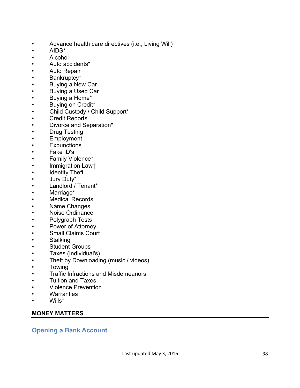- Advance health care directives (i.e., Living Will)<br>AIDS\*
- 
- 
- 
- 
- 
- 
- 
- 
- 
- 
- 
- 
- 
- 
- 
- 
- 
- 
- 
- 
- 
- 
- 
- 
- 
- 
- 
- 
- 
- 
- 
- Alochol<br>• Alcohol<br>• Auto accidents\*<br>• Luto accidents\*<br>• Buying a New Car<br>• Buying a New Car<br>• Buying a New Car<br>• Buying a New Car<br>• Buying a New Car<br>• Child Custody / Child Support\*<br>• Credit Reports<br>• Divorce and Separat
- 
- 
- 
- 
- 
- 

## **MONEY MATTERS**

**Opening a Bank Account**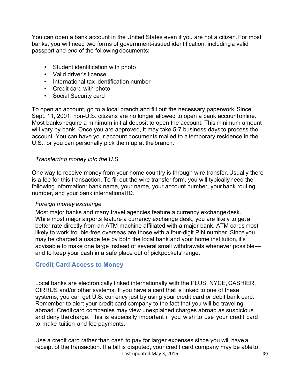You can open a bank account in the United States even if you are not a citizen.For most banks, you will need two forms of government-issued identification, includinga valid passport and *one* of the following documents:

- Student identification with photo
- Valid driver's license
- International tax identification number
- Credit card with photo
- Social Security card

To open an account, go to a local branch and fill out the necessary paperwork.Since Sept. 11, 2001, non-U.S. citizens are no longer allowed to open a bank accountonline. Most banks require a minimum initial deposit to open the account. This minimum amount will vary by bank. Once you are approved, it may take 5-7 business days to process the account. You can have your account documents mailed to a temporary residence in the U.S., or you can personally pick them up at the branch.

## *Transferring money into the U.S.*

One way to receive money from your home country is through wire transfer. Usually there is a fee for this transaction. To fill out the wire transfer form, you will typicallyneed the following information: bank name, your name, your account number, your bank routing number, and your bank international ID.

## *Foreign money exchange*

Most major banks and many travel agencies feature a currency exchangedesk. While most major airports feature a currency exchange desk, you are likely to get a better rate directly from an ATM machine affiliated with a major bank. ATM cards most likely to work trouble-free overseas are those with a four-digit PIN number. Since you may be charged a usage fee by both the local bank and your home institution, it's advisable to make one large instead of several small withdrawals whenever possible and to keep your cash in a safe place out of pickpockets' range.

## **Credit Card Access to Money**

Local banks are electronically linked internationally with the PLUS, NYCE, CASHIER, CIRRUS and/or other systems. If you have a card that is linked to one of these systems, you can get U.S. currency just by using your credit card or debit bank card. Remember to alert your credit card company to the fact that you will be traveling abroad. Creditcard companies may view unexplained charges abroad as suspicious and deny thecharge. This is especially important if you wish to use your credit card to make tuition and fee payments.

Last updated May 3, 2016 39 Use a credit card rather than cash to pay for larger expenses since you will have a receipt of the transaction. If a bill is disputed, your credit card company may be ableto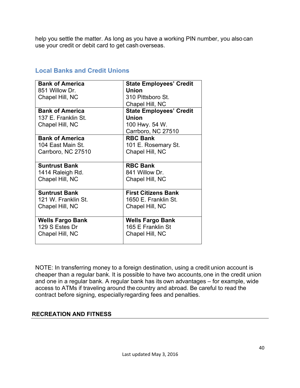help you settle the matter. As long as you have a working PIN number, you also can use your credit or debit card to get cash overseas.

| <b>Bank of America</b>  | <b>State Employees' Credit</b> |
|-------------------------|--------------------------------|
| 851 Willow Dr.          | <b>Union</b>                   |
| Chapel Hill, NC         | 310 Pittsboro St.              |
|                         | Chapel Hill, NC                |
| <b>Bank of America</b>  | <b>State Employees' Credit</b> |
| 137 E. Franklin St.     | <b>Union</b>                   |
| Chapel Hill, NC         | 100 Hwy. 54 W.                 |
|                         | Carrboro, NC 27510             |
| <b>Bank of America</b>  | <b>RBC Bank</b>                |
| 104 East Main St.       | 101 E. Rosemary St.            |
| Carrboro, NC 27510      | Chapel Hill, NC                |
|                         |                                |
| <b>Suntrust Bank</b>    | <b>RBC Bank</b>                |
| 1414 Raleigh Rd.        | 841 Willow Dr.                 |
| Chapel Hill, NC         | Chapel Hill, NC                |
|                         |                                |
| <b>Suntrust Bank</b>    | <b>First Citizens Bank</b>     |
| 121 W. Franklin St.     | 1650 E. Franklin St.           |
| Chapel Hill, NC         | Chapel Hill, NC                |
|                         |                                |
| <b>Wells Fargo Bank</b> | <b>Wells Fargo Bank</b>        |
| 129 S Estes Dr          | 165 E Franklin St              |
|                         |                                |
| Chapel Hill, NC         | Chapel Hill, NC                |

## **Local Banks and Credit Unions**

NOTE: In transferring money to a foreign destination, using a credit union account is cheaper than a regular bank. It is possible to have two accounts,one in the credit union and one in a regular bank. A regular bank has its own advantages – for example, wide access to ATMs if traveling around the country and abroad. Be careful to read the contract before signing, especiallyregarding fees and penalties.

## **RECREATION AND FITNESS**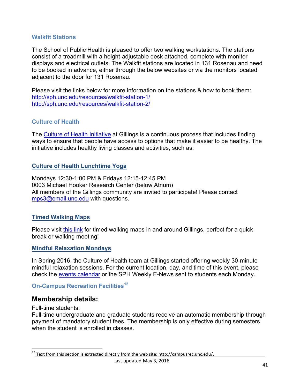## **Walkfit Stations**

The School of Public Health is pleased to offer two walking workstations. The stations consist of a treadmill with a height-adjustable desk attached, complete with monitor displays and electrical outlets. The Walkfit stations are located in 131 Rosenau and need to be booked in advance, either through the below websites or via the monitors located adjacent to the door for 131 Rosenau.

Please visit the links below for more information on the stations & how to book them: http://sph.unc.edu/resources/walkfit-station-1/ http://sph.unc.edu/resources/walkfit-station-2/

## **Culture of Health**

The Culture of Health Initiative at Gillings is a continuous process that includes finding ways to ensure that people have access to options that make it easier to be healthy. The initiative includes healthy living classes and activities, such as:

## **Culture of Health Lunchtime Yoga**

Mondays 12:30-1:00 PM & Fridays 12:15-12:45 PM 0003 Michael Hooker Research Center (below Atrium) All members of the Gillings community are invited to participate! Please contact mps3@email.unc.edu with questions.

## **Timed Walking Maps**

Please visit this link for timed walking maps in and around Gillings, perfect for a quick break or walking meeting!

## **Mindful Relaxation Mondays**

In Spring 2016, the Culture of Health team at Gillings started offering weekly 30-minute mindful relaxation sessions. For the current location, day, and time of this event, please check the events calendar or the SPH Weekly E-News sent to students each Monday.

## **On-Campus Recreation Facilities<sup>12</sup>**

## **Membership details:**

 

Full-time students:

Full-time undergraduate and graduate students receive an automatic membership through payment of mandatory student fees. The membership is only effective during semesters when the student is enrolled in classes.

 $^{12}$  Text from this section is extracted directly from the web site: http://campusrec.unc.edu/.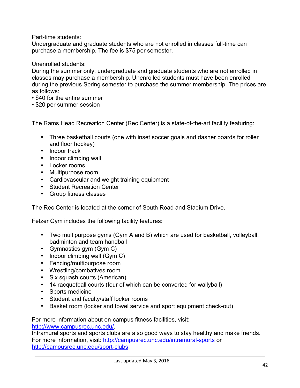Part-time students:

Undergraduate and graduate students who are not enrolled in classes full-time can purchase a membership. The fee is \$75 per semester.

Unenrolled students:

During the summer only, undergraduate and graduate students who are not enrolled in classes may purchase a membership. Unenrolled students must have been enrolled during the previous Spring semester to purchase the summer membership. The prices are as follows:

- \$40 for the entire summer
- \$20 per summer session

The Rams Head Recreation Center (Rec Center) is a state-of-the-art facility featuring:

- Three basketball courts (one with inset soccer goals and dasher boards for roller and floor hockey)
- Indoor track
- Indoor climbing wall
- Locker rooms
- Multipurpose room
- Cardiovascular and weight training equipment
- Student Recreation Center
- Group fitness classes

The Rec Center is located at the corner of South Road and Stadium Drive.

Fetzer Gym includes the following facility features:

- Two multipurpose gyms (Gym A and B) which are used for basketball, volleyball, badminton and team handball
- Gymnastics gym (Gym C)
- Indoor climbing wall (Gym C)
- Fencing/multipurpose room
- Wrestling/combatives room
- Six squash courts (American)
- 14 racquetball courts (four of which can be converted for wallyball)
- Sports medicine
- Student and faculty/staff locker rooms
- Basket room (locker and towel service and sport equipment check-out)

For more information about on-campus fitness facilities, visit: http://www.campusrec.unc.edu/.

Intramural sports and sports clubs are also good ways to stay healthy and make friends. For more information, visit: http://campusrec.unc.edu/intramural-sports or http://campusrec.unc.edu/sport-clubs.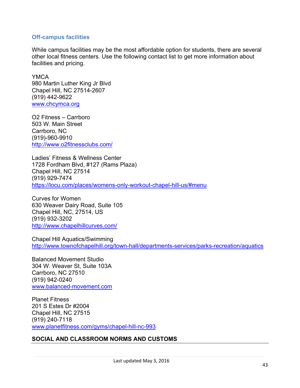## **Off-campus facilities**

While campus facilities may be the most affordable option for students, there are several other local fitness centers. Use the following contact list to get more information about facilities and pricing.

**YMCA** 980 Martin Luther King Jr Blvd Chapel Hill, NC 27514-2607 (919) 442-9622 www.chcymca.org

O2 Fitness – Carrboro 503 W. Main Street Carrboro, NC (919)-960-9910 http://www.o2fitnessclubs.com/

Ladies' Fitness & Wellness Center 1728 Fordham Blvd, #127 (Rams Plaza) Chapel Hill, NC 27514 (919) 929-7474 https://locu.com/places/womens-only-workout-chapel-hill-us/#menu

Curves for Women 630 Weaver Dairy Road, Suite 105 Chapel Hill, NC, 27514, US (919) 932-3202 http://www.chapelhillcurves.com/

Chapel Hill Aquatics/Swimming http://www.townofchapelhill.org/town-hall/departments-services/parks-recreation/aquatics

Balanced Movement Studio 304 W. Weaver St, Suite 103A Carrboro, NC 27510 (919) 942-0240 www.balanced-movement.com

Planet Fitness 201 S Estes Dr #2004 Chapel Hill, NC 27515 (919) 240-7118 www.planetfitness.com/gyms/chapel-hill-nc-993

## **SOCIAL AND CLASSROOM NORMS AND CUSTOMS**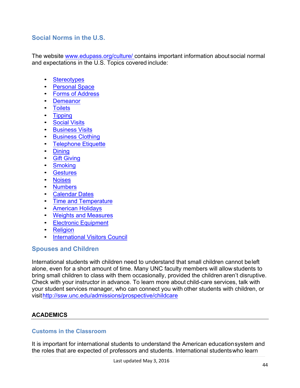## **Social Norms in the U.S.**

The website www.edupass.org/culture/ contains important information about social normal and expectations in the U.S. Topics covered include:

- Stereotypes
- Personal Space
- Forms of Address
- Demeanor
- Toilets
- Tipping
- Social Visits
- Business Visits
- Business Clothing
- Telephone Etiquette
- Dining
- Gift Giving
- Smoking
- Gestures
- Noises
- Numbers
- Calendar Dates
- Time and Temperature
- American Holidays
- Weights and Measures
- Electronic Equipment
- Religion
- International Visitors Council

## **Spouses and Children**

International students with children need to understand that small children cannot beleft alone, even for a short amount of time. Many UNC faculty members will allow students to bring small children to class with them occasionally, provided the children aren't disruptive. Check with your instructor in advance. To learn more about child-care services, talk with your student services manager, who can connect you with other students with children, or visithttp://ssw.unc.edu/admissions/prospective/childcare

## **ACADEMICS**

## **Customs in the Classroom**

It is important for international students to understand the American educationsystem and the roles that are expected of professors and students. International studentswho learn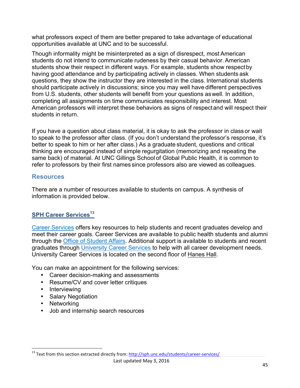what professors expect of them are better prepared to take advantage of educational opportunities available at UNC and to be successful.

Though informality might be misinterpreted as a sign of disrespect, most American students do not intend to communicate rudeness by their casual behavior. American students show their respect in different ways. For example, students show respectby having good attendance and by participating actively in classes. When students ask questions, they show the instructor they are interested in the class. International students should participate actively in discussions; since you may well have different perspectives from U.S. students, other students will benefit from your questions aswell. In addition, completing all assignments on time communicates responsibility and interest. Most American professors will interpret these behaviors as signs of respectand will respect their students in return.

If you have a question about class material, it is okay to ask the professor in classor wait to speak to the professor after class. (If you don't understand the professor's response, it's better to speak to him or her after class.) As a graduate student, questions and critical thinking are encouraged instead of simple regurgitation (memorizing and repeating the same back) of material. At UNC Gillings School of Global Public Health, it is common to refer to professors by their first names since professors also are viewed as colleagues.

## **Resources**

There are a number of resources available to students on campus. A synthesis of information is provided below.

## **SPH Career Services<sup>13</sup>**

Career Services offers key resources to help students and recent graduates develop and meet their career goals. Career Services are available to public health students and alumni through the Office of Student Affairs. Additional support is available to students and recent graduates through University Career Services to help with all career development needs. University Career Services is located on the second floor of Hanes Hall.

You can make an appointment for the following services:

- Career decision-making and assessments
- Resume/CV and cover letter critiques
- Interviewing
- Salary Negotiation

 

- Networking
- Job and internship search resources

<sup>&</sup>lt;sup>13</sup> Text from this section extracted directly from: <u>http://sph.unc.edu/students/career-services/</u>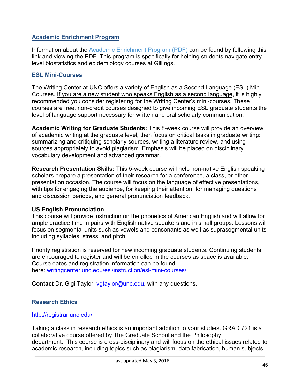## **Academic Enrichment Program**

Information about the Academic Enrichment Program (PDF) can be found by following this link and viewing the PDF. This program is specifically for helping students navigate entrylevel biostatistics and epidemiology courses at Gillings.

## **ESL Mini-Courses**

The Writing Center at UNC offers a variety of English as a Second Language (ESL) Mini-Courses. If you are a new student who speaks English as a second language, it is highly recommended you consider registering for the Writing Center's mini-courses. These courses are free, non-credit courses designed to give incoming ESL graduate students the level of language support necessary for written and oral scholarly communication.

**Academic Writing for Graduate Students:** This 8-week course will provide an overview of academic writing at the graduate level, then focus on critical tasks in graduate writing: summarizing and critiquing scholarly sources, writing a literature review, and using sources appropriately to avoid plagiarism. Emphasis will be placed on disciplinary vocabulary development and advanced grammar.

**Research Presentation Skills:** This 5-week course will help non-native English speaking scholars prepare a presentation of their research for a conference, a class, or other presentation occasion. The course will focus on the language of effective presentations, with tips for engaging the audience, for keeping their attention, for managing questions and discussion periods, and general pronunciation feedback.

## **US English Pronunciation**

This course will provide instruction on the phonetics of American English and will allow for ample practice time in pairs with English native speakers and in small groups. Lessons will focus on segmental units such as vowels and consonants as well as suprasegmental units including syllables, stress, and pitch.

Priority registration is reserved for new incoming graduate students. Continuing students are encouraged to register and will be enrolled in the courses as space is available. Course dates and registration information can be found here: writingcenter.unc.edu/esl/instruction/esl-mini-courses/

**Contact** Dr. Gigi Taylor, vgtaylor@unc.edu, with any questions.

## **Research Ethics**

## http://registrar.unc.edu/

Taking a class in research ethics is an important addition to your studies. GRAD 721 is a collaborative course offered by The Graduate School and the Philosophy department. This course is cross-disciplinary and will focus on the ethical issues related to academic research, including topics such as plagiarism, data fabrication, human subjects,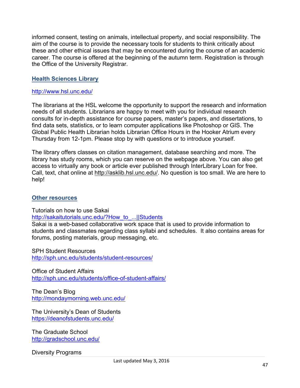informed consent, testing on animals, intellectual property, and social responsibility. The aim of the course is to provide the necessary tools for students to think critically about these and other ethical issues that may be encountered during the course of an academic career. The course is offered at the beginning of the autumn term. Registration is through the Office of the University Registrar.

## **Health Sciences Library**

#### http://www.hsl.unc.edu/

The librarians at the HSL welcome the opportunity to support the research and information needs of all students. Librarians are happy to meet with you for individual research consults for in-depth assistance for course papers, master's papers, and dissertations, to find data sets, statistics, or to learn computer applications like Photoshop or GIS. The Global Public Health Librarian holds Librarian Office Hours in the Hooker Atrium every Thursday from 12-1pm. Please stop by with questions or to introduce yourself.

The library offers classes on citation management, database searching and more. The library has study rooms, which you can reserve on the webpage above. You can also get access to virtually any book or article ever published through InterLibrary Loan for free. Call, text, chat online at http://asklib.hsl.unc.edu/. No question is too small. We are here to help!

#### **Other resources**

Tutorials on how to use Sakai

#### http://sakaitutorials.unc.edu/?How\_to\_...||Students

Sakai is a web-based collaborative work space that is used to provide information to students and classmates regarding class syllabi and schedules. It also contains areas for forums, posting materials, group messaging, etc.

SPH Student Resources http://sph.unc.edu/students/student-resources/

Office of Student Affairs http://sph.unc.edu/students/office-of-student-affairs/

The Dean's Blog http://mondaymorning.web.unc.edu/

The University's Dean of Students https://deanofstudents.unc.edu/

The Graduate School http://gradschool.unc.edu/

Diversity Programs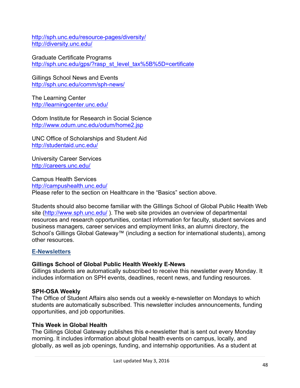http://sph.unc.edu/resource-pages/diversity/ http://diversity.unc.edu/

Graduate Certificate Programs http://sph.unc.edu/gps/?rasp\_st\_level\_tax%5B%5D=certificate

Gillings School News and Events http://sph.unc.edu/comm/sph-news/

The Learning Center http://learningcenter.unc.edu/

Odom Institute for Research in Social Science http://www.odum.unc.edu/odum/home2.jsp

UNC Office of Scholarships and Student Aid http://studentaid.unc.edu/

University Career Services http://careers.unc.edu/

Campus Health Services http://campushealth.unc.edu/ Please refer to the section on Healthcare in the "Basics" section above.

Students should also become familiar with the GIllings School of Global Public Health Web site (http://www.sph.unc.edu/ ). The web site provides an overview of departmental resources and research opportunities, contact information for faculty, student services and business managers, career services and employment links, an alumni directory, the School's Gillings Global Gateway™ (including a section for international students), among other resources.

## **E-Newsletters**

## **Gillings School of Global Public Health Weekly E-News**

Gillings students are automatically subscribed to receive this newsletter every Monday. It includes information on SPH events, deadlines, recent news, and funding resources.

## **SPH-OSA Weekly**

The Office of Student Affairs also sends out a weekly e-newsletter on Mondays to which students are automatically subscribed. This newsletter includes announcements, funding opportunities, and job opportunities.

## **This Week in Global Health**

The Gillings Global Gateway publishes this e-newsletter that is sent out every Monday morning. It includes information about global health events on campus, locally, and globally, as well as job openings, funding, and internship opportunities. As a student at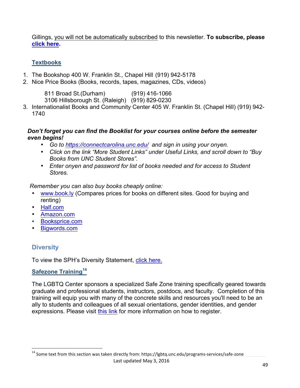Gillings, you will not be automatically subscribed to this newsletter. **To subscribe, please click here.** 

## **Textbooks**

- 1. The Bookshop 400 W. Franklin St., Chapel Hill (919) 942-5178
- 2. Nice Price Books (Books, records, tapes, magazines, CDs, videos)

811 Broad St.(Durham) (919) 416-1066 3106 Hillsborough St. (Raleigh) (919) 829-0230

3. Internationalist Books and Community Center 405 W. Franklin St. (Chapel Hill) (919) 942- 1740

## *Don't forget you can find the Booklist for your courses online before the semester even begins!*

- *Go to https://connectcarolina.unc.edu/ and sign in using your onyen.*
- *Click on the link "More Student Links" under Useful Links, and scroll down to "Buy Books from UNC Student Stores".*
- *Enter onyen and password for list of books needed and for access to Student Stores.*

*Remember you can also buy books cheaply online:*

- www.book.ly (Compares prices for books on different sites. Good for buying and renting)
- Half.com
- Amazon.com
- Booksprice.com
- Bigwords.com

# **Diversity**

To view the SPH's Diversity Statement, click here.

## **Safezone Training<sup>14</sup>**

 

The LGBTQ Center sponsors a specialized Safe Zone training specifically geared towards graduate and professional students, instructors, postdocs, and faculty. Completion of this training will equip you with many of the concrete skills and resources you'll need to be an ally to students and colleagues of all sexual orientations, gender identities, and gender expressions. Please visit this link for more information on how to register.

 $^{14}$  Some text from this section was taken directly from: https://lgbtq.unc.edu/programs-services/safe-zone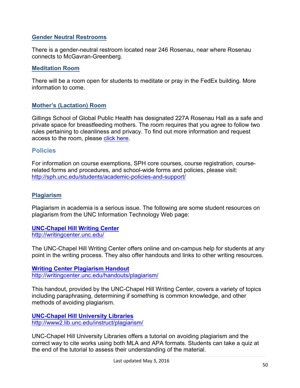## **Gender Neutral Restrooms**

There is a gender-neutral restroom located near 246 Rosenau, near where Rosenau connects to McGavran-Greenberg.

## **Meditation Room**

There will be a room open for students to meditate or pray in the FedEx building. More information to come.

## **Mother's (Lactation) Room**

Gillings School of Global Public Health has designated 227A Rosenau Hall as a safe and private space for breastfeeding mothers. The room requires that you agree to follow two rules pertaining to cleanliness and privacy. To find out more information and request access to the room, please click here.

## **Policies**

For information on course exemptions, SPH core courses, course registration, courserelated forms and procedures, and school-wide forms and policies, please visit: http://sph.unc.edu/students/academic-policies-and-support/

## **Plagiarism**

Plagiarism in academia is a serious issue. The following are some student resources on plagiarism from the UNC Information Technology Web page:

**UNC-Chapel Hill Writing Center** http://writingcenter.unc.edu/

The UNC-Chapel Hill Writing Center offers online and on-campus help for students at any point in the writing process. They also offer handouts and links to other writing resources.

**Writing Center Plagiarism Handout** http://writingcenter.unc.edu/handouts/plagiarism/

This handout, provided by the UNC-Chapel Hill Writing Center, covers a variety of topics including paraphrasing, determining if something is common knowledge, and other methods of avoiding plagiarism.

**UNC-Chapel Hill University Libraries** http://www2.lib.unc.edu/instruct/plagiarism/

UNC-Chapel Hill University Libraries offers a tutorial on avoiding plagiarism and the correct way to cite works using both MLA and APA formats. Students can take a quiz at the end of the tutorial to assess their understanding of the material.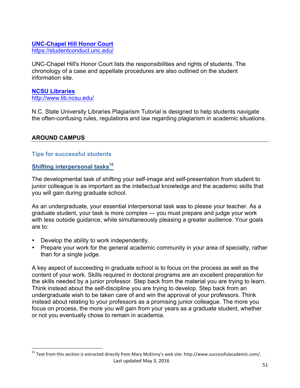## **UNC-Chapel Hill Honor Court** https://studentconduct.unc.edu/

UNC-Chapel Hill's Honor Court lists the responsibilities and rights of students. The chronology of a case and appellate procedures are also outlined on the student information site.

## **NCSU Libraries** http://www.lib.ncsu.edu/

N.C. State University Libraries Plagiarism Tutorial is designed to help students navigate the often-confusing rules, regulations and law regarding plagiarism in academic situations.

## **AROUND CAMPUS**

## **Tips for successful students**

## **Shifting interpersonal tasks<sup>15</sup>**

 

The developmental task of shifting your self-image and self-presentation from student to junior colleague is as important as the intellectual knowledge and the academic skills that you will gain during graduate school.

As an undergraduate, your essential interpersonal task was to please your teacher. As a graduate student, your task is more complex — you must prepare and judge your work with less outside guidance, while simultaneously pleasing a greater audience. Your goals are to:

- Develop the ability to work independently.
- Prepare your work for the general academic community in your area of specialty, rather than for a single judge.

A key aspect of succeeding in graduate school is to focus on the process as well as the content of your work. Skills required in doctoral programs are an excellent preparation for the skills needed by a junior professor. Step back from the material you are trying to learn. Think instead about the self-discipline you are trying to develop. Step back from an undergraduate wish to be taken care of and win the approval of your professors. Think instead about relating to your professors as a promising junior colleague. The more you focus on process, the more you will gain from your years as a graduate student, whether or not you eventually chose to remain in academia.

<sup>&</sup>lt;sup>15</sup> Text from this section is extracted directly from Mary McKinny's web site: http://www.successfulacademic.com/.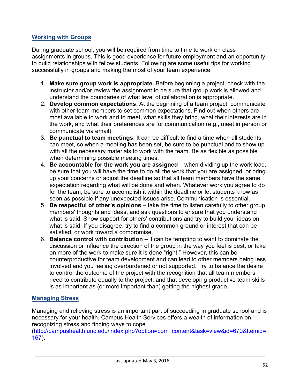## **Working with Groups**

During graduate school, you will be required from time to time to work on class assignments in groups. This is good experience for future employment and an opportunity to build relationships with fellow students. Following are some useful tips for working successfully in groups and making the most of your team experience:

- 1. **Make sure group work is appropriate.** Before beginning a project, check with the instructor and/or review the assignment to be sure that group work is allowed and understand the boundaries of what level of collaboration is appropriate.
- 2. **Develop common expectations**. At the beginning of a team project, communicate with other team members to set common expectations. Find out when others are most available to work and to meet, what skills they bring, what their interests are in the work, and what their preferences are for communication (e.g., meet in person or communicate via email).
- 3. **Be punctual to team meetings**. It can be difficult to find a time when all students can meet, so when a meeting has been set, be sure to be punctual and to show up with all the necessary materials to work with the team. Be as flexible as possible when determining possible meeting times.
- 4. **Be accountable for the work you are assigned** when dividing up the work load, be sure that you will have the time to do all the work that you are assigned, or bring up your concerns or adjust the deadline so that all team members have the same expectation regarding what will be done and when. Whatever work you agree to do for the team, be sure to accomplish it within the deadline or let students know as soon as possible if any unexpected issues arise. Communication is essential.
- 5. **Be respectful of other's opinions**  take the time to listen carefully to other group members' thoughts and ideas, and ask questions to ensure that you understand what is said. Show support for others' contributions and try to build your ideas on what is said. If you disagree, try to find a common ground or interest that can be satisfied, or work toward a compromise.
- 6. **Balance control with contribution** it can be tempting to want to dominate the discussion or influence the direction of the group in the way you feel is best, or take on more of the work to make sure it is done "right." However, this can be counterproductive for team development and can lead to other members being less involved and you feeling overburdened or not supported. Try to balance the desire to control the outcome of the project with the recognition that all team members need to contribute equally to the project, and that developing productive team skills is as important as (or more important than) getting the highest grade.

## **Managing Stress**

Managing and relieving stress is an important part of succeeding in graduate school and is necessary for your health. Campus Health Services offers a wealth of information on recognizing stress and finding ways to cope

(http://campushealth.unc.edu/index.php?option=com\_content&task=view&id=670&Itemid= 167).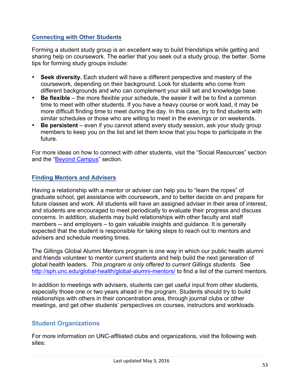## **Connecting with Other Students**

Forming a student study group is an excellent way to build friendships while getting and sharing help on coursework. The earlier that you seek out a study group, the better. Some tips for forming study groups include:

- **Seek diversity.** Each student will have a different perspective and mastery of the coursework, depending on their background. Look for students who come from different backgrounds and who can complement your skill set and knowledge base.
- **Be flexible** the more flexible your schedule, the easier it will be to find a common time to meet with other students. If you have a heavy course or work load, it may be more difficult finding time to meet during the day. In this case, try to find students with similar schedules or those who are willing to meet in the evenings or on weekends.
- **Be persistent** even if you cannot attend every study session, ask your study group members to keep you on the list and let them know that you hope to participate in the future.

For more ideas on how to connect with other students, visit the "Social Resources" section and the "Beyond Campus" section.

## **Finding Mentors and Advisers**

Having a relationship with a mentor or adviser can help you to "learn the ropes" of graduate school, get assistance with coursework, and to better decide on and prepare for future classes and work. All students will have an assigned adviser in their area of interest, and students are encouraged to meet periodically to evaluate their progress and discuss concerns. In addition, students may build relationships with other faculty and staff members -- and employers – to gain valuable insights and guidance. It is generally expected that the student is responsible for taking steps to reach out to mentors and advisers and schedule meeting times.

The Gillings Global Alumni Mentors program is one way in which our public health alumni and friends volunteer to mentor current students and help build the next generation of global health leaders. *This program is only offered to current Gillings students.* See http://sph.unc.edu/global-health/global-alumni-mentors/ to find a list of the current mentors.

In addition to meetings with advisers, students can get useful input from other students, especially those one or two years ahead in the program. Students should try to build relationships with others in their concentration area, through journal clubs or other meetings, and get other students' perspectives on courses, instructors and workloads.

## **Student Organizations**

For more information on UNC-affiliated clubs and organizations, visit the following web sites: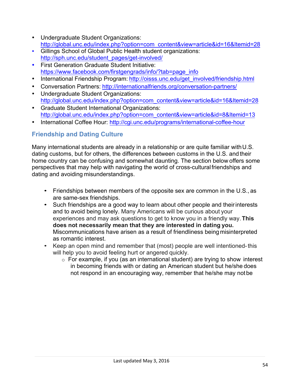- Undergraduate Student Organizations: http://global.unc.edu/index.php?option=com\_content&view=article&id=16&Itemid=28
- Gillings School of Global Public Health student organizations: http://sph.unc.edu/student\_pages/get-involved/
- First Generation Graduate Student Initiative: https://www.facebook.com/firstgengrads/info/?tab=page\_info
- International Friendship Program: http://oisss.unc.edu/get\_involved/friendship.html
- Conversation Partners: http://internationalfriends.org/conversation-partners/
- Undergraduate Student Organizations: http://global.unc.edu/index.php?option=com\_content&view=article&id=16&Itemid=28
- Graduate Student International Organizations: http://global.unc.edu/index.php?option=com\_content&view=article&id=8&Itemid=13
- International Coffee Hour: http://cgi.unc.edu/programs/international-coffee-hour

# **Friendship and Dating Culture**

Many international students are already in a relationship or are quite familiar with U.S. dating customs, but for others, the differences between customs in the U.S. and their home country can be confusing and somewhat daunting. The section below offers some perspectives that may help with navigating the world of cross-culturalfriendships and dating and avoiding misunderstandings.

- Friendships between members of the opposite sex are common in the U.S., as are same-sex friendships.
- Such friendships are a good way to learn about other people and their interests and to avoid being lonely. Many Americans will be curious about your experiences and may ask questions to get to know you in a friendly way.**This does not necessarily mean that they are interested in dating you.**  Miscommunications have arisen as a result of friendliness being misinterpreted as romantic interest.
- Keep an open mind and remember that (most) people are well intentioned-this will help you to avoid feeling hurt or angered quickly.
	- $\circ$  For example, if you (as an international student) are trying to show interest in becoming friends with or dating an American student but he/she does not respond in an encouraging way, remember that he/she may notbe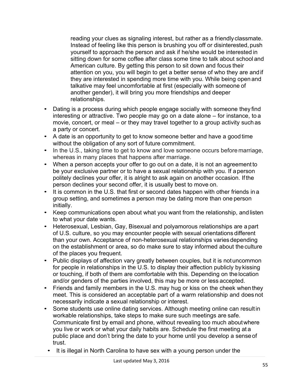reading your clues as signaling interest, but rather as a friendlyclassmate. Instead of feeling like this person is brushing you off or disinterested, push yourself to approach the person and ask if he/she would be interested in sitting down for some coffee after class some time to talk about school and American culture. By getting this person to sit down and focus their attention on you, you will begin to get a better sense of who they are andif they are interested in spending more time with you. While being open and talkative may feel uncomfortable at first (especially with someone of another gender), it will bring you more friendships and deeper relationships.

- Dating is a process during which people engage socially with someone they find interesting or attractive. Two people may go on a date alone – for instance, to a movie, concert, or meal – or they may travel together to a group activity such as a party or concert.
- A date is an opportunity to get to know someone better and have a good time without the obligation of any sort of future commitment.
- In the U.S., taking time to get to know and love someone occurs before marriage, whereas in many places that happens after marriage.
- When a person accepts your offer to go out on a date, it is not an agreement to be your exclusive partner or to have a sexual relationship with you. If aperson politely declines your offer, it is alright to ask again on another occasion. If the person declines your second offer, it is usually best to move on.
- It is common in the U.S. that first or second dates happen with other friends in a group setting, and sometimes a person may be dating more than one person initially.
- Keep communications open about what you want from the relationship, andlisten to what your date wants.
- Heterosexual, Lesbian, Gay, Bisexual and polyamorous relationships are a part of U.S. culture, so you may encounter people with sexual orientations different than your own. Acceptance of non-heterosexual relationships variesdepending on the establishment or area, so do make sure to stay informed about the culture of the places you frequent.
- Public displays of affection vary greatly between couples, but it is notuncommon for people in relationships in the U.S. to display their affection publicly by kissing or touching, if both of them are comfortable with this. Depending on the location and/or genders of the parties involved, this may be more or less accepted.
- Friends and family members in the U.S. may hug or kiss on the cheek when they meet. This is considered an acceptable part of a warm relationship and does not necessarily indicate a sexual relationship or interest.
- Some students use online dating services. Although meeting online can result in workable relationships, take steps to make sure such meetings are safe. Communicate first by email and phone, without revealing too much aboutwhere you live or work or what your daily habits are. Schedule the first meeting at a public place and don't bring the date to your home until you develop a sense of trust.
	- It is illegal in North Carolina to have sex with a young person under the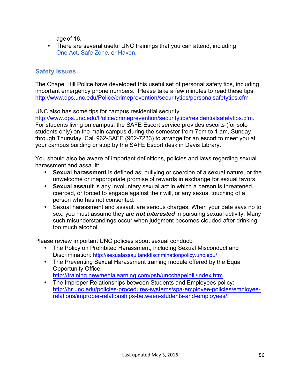ageof 16.

• There are several useful UNC trainings that you can attend, including One Act, Safe Zone, or Haven.

# **Safety Issues**

The Chapel Hill Police have developed this useful set of personal safety tips, including important emergency phone numbers. Please take a few minutes to read these tips: http://www.dps.unc.edu/Police/crimeprevention/securitytips/personalsafetytips.cfm

UNC also has some tips for campus residential security.

http://www.dps.unc.edu/Police/crimeprevention/securitytips/residentialsafetytips.cfm. For students living on campus, the SAFE Escort service provides escorts (for solo students only) on the main campus during the semester from 7pm to 1 am, Sunday through Thursday. Call 962-SAFE (962-7233) to arrange for an escort to meet you at your campus building or stop by the SAFE Escort desk in Davis Library.

You should also be aware of important definitions, policies and laws regarding sexual harassment and assault:

- **Sexual harassment** is defined as: bullying or coercion of a sexual nature, or the unwelcome or inappropriate promise of rewards in exchange for sexual favors.
- **Sexual assault** is any involuntary sexual act in which a person is threatened, coerced, or forced to engage against their will, or any sexual touching of a person who has not consented.
- Sexual harassment and assault are serious charges. When your date says no to sex, you must assume they are *not interested* in pursuing sexual activity. Many such misunderstandings occur when judgment becomes clouded after drinking too much alcohol.

Please review important UNC policies about sexual conduct:

- The Policy on Prohibited Harassment, including Sexual Misconduct and Discrimination: http://sexualassaultanddiscriminationpolicy.unc.edu/
- The Preventing Sexual Harassment training module offered by the Equal Opportunity Office:

http://training.newmedialearning.com/psh/uncchapelhill/index.htm.

• The Improper Relationships between Students and Employees policy: http://hr.unc.edu/policies-procedures-systems/spa-employee-policies/employeerelations/improper-relationships-between-students-and-employees/.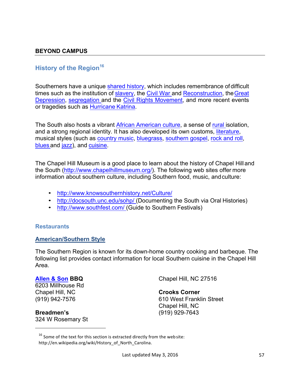## **History of the Region<sup>16</sup>**

Southerners have a unique shared history, which includes remembrance of difficult times such as the institution of slavery, the Civil War and Reconstruction, the Great Depression, segregation and the Civil Rights Movement, and more recent events or tragedies such as Hurricane Katrina.

The South also hosts a vibrant African American culture, a sense of rural isolation, and a strong regional identity. It has also developed its own customs, literature, musical styles (such as country music, bluegrass, southern gospel, rock and roll, blues and jazz), and cuisine.

The Chapel Hill Museum is a good place to learn about the history of Chapel Hill and the South (http://www.chapelhillmuseum.org/). The following web sites offer more information about southern culture, including Southern food, music, andculture:

- http://www.knowsouthernhistory.net/Culture/
- http://docsouth.unc.edu/sohp/ (Documenting the South via Oral Histories)
- http://www.southfest.com/ (Guide to Southern Festivals)

## **Restaurants**

#### **American/Southern Style**

The Southern Region is known for its down-home country cooking and barbeque. The following list provides contact information for local Southern cuisine in the Chapel Hill Area.

#### **Allen & Son BBQ**

6203 Millhouse Rd Chapel Hill, NC (919) 942-7576

**Breadmen's** 324 W Rosemary St

 

Chapel Hill, NC 27516

## **Crooks Corner**

610 West Franklin Street Chapel Hill, NC (919) 929-7643

 $16$  Some of the text for this section is extracted directly from the web site: http://en.wikipedia.org/wiki/History\_of\_North\_Carolina.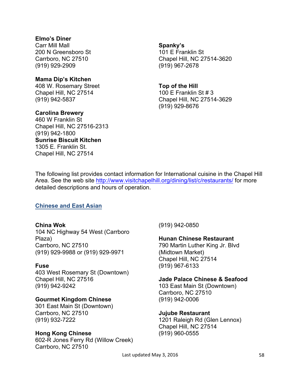## **Elmo's Diner**

Carr Mill Mall 200 N Greensboro St Carrboro, NC 27510 (919) 929-2909

#### **Mama Dip's Kitchen**

408 W. Rosemary Street Chapel Hill, NC 27514 (919) 942-5837

**Carolina Brewery** 460 W Franklin St Chapel Hill, NC 27516-2313 (919) 942-1800 **Sunrise Biscuit Kitchen** 1305 E. Franklin St. Chapel Hill, NC 27514

#### **Spanky's**

101 E Franklin St Chapel Hill, NC 27514-3620 (919) 967-2678

#### **Top of the Hill**

100 E Franklin St # 3 Chapel Hill, NC 27514-3629 (919) 929-8676

The following list provides contact information for International cuisine in the Chapel Hill Area. See the web site http://www.visitchapelhill.org/dining/list/c/restaurants/ for more detailed descriptions and hours of operation.

## **Chinese and East Asian**

#### **China Wok**

104 NC Highway 54 West (Carrboro Plaza) Carrboro, NC 27510 (919) 929-9988 or (919) 929-9971

#### **Fuse**

403 West Rosemary St (Downtown) Chapel Hill, NC 27516 (919) 942-9242

## **Gourmet Kingdom Chinese**

301 East Main St (Downtown) Carrboro, NC 27510 (919) 932-7222

## **Hong Kong Chinese**

602-R Jones Ferry Rd (Willow Creek) Carrboro, NC 27510

(919) 942-0850

#### **Hunan Chinese Restaurant**

790 Martin Luther King Jr. Blvd (Midtown Market) Chapel Hill, NC 27514 (919) 967-6133

#### **Jade Palace Chinese & Seafood**

103 East Main St (Downtown) Carrboro, NC 27510 (919) 942-0006

**Jujube Restaurant**

1201 Raleigh Rd (Glen Lennox) Chapel Hill, NC 27514 (919) 960-0555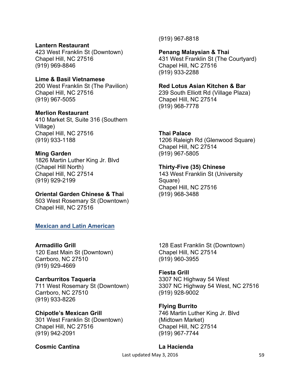#### **Lantern Restaurant**

423 West Franklin St (Downtown) Chapel Hill, NC 27516 (919) 969-8846

## **Lime & Basil Vietnamese**

200 West Franklin St (The Pavilion) Chapel Hill, NC 27516 (919) 967-5055

#### **Merlion Restaurant**

410 Market St, Suite 316 (Southern Village) Chapel Hill, NC 27516 (919) 933-1188

#### **Ming Garden**

1826 Martin Luther King Jr. Blvd (Chapel Hill North) Chapel Hill, NC 27514 (919) 929-2199

#### **Oriental Garden Chinese & Thai**

503 West Rosemary St (Downtown) Chapel Hill, NC 27516

## **Mexican and Latin American**

#### **Armadillo Grill**

120 East Main St (Downtown) Carrboro, NC 27510 (919) 929-4669

#### **Carrburritos Taqueria**

711 West Rosemary St (Downtown) Carrboro, NC 27510 (919) 933-8226

## **Chipotle's Mexican Grill**

301 West Franklin St (Downtown) Chapel Hill, NC 27516 (919) 942-2091

#### **Cosmic Cantina**

(919) 967-8818

#### **Penang Malaysian & Thai**

431 West Franklin St (The Courtyard) Chapel Hill, NC 27516 (919) 933-2288

#### **Red Lotus Asian Kitchen & Bar**

239 South Elliott Rd (Village Plaza) Chapel Hill, NC 27514 (919) 968-7778

#### **Thai Palace**

1206 Raleigh Rd (Glenwood Square) Chapel Hill, NC 27514 (919) 967-5805

#### **Thirty-Five (35) Chinese**

143 West Franklin St (University Square) Chapel Hill, NC 27516 (919) 968-3488

128 East Franklin St (Downtown) Chapel Hill, NC 27514 (919) 960-3955

#### **Fiesta Grill**

3307 NC Highway 54 West 3307 NC Highway 54 West, NC 27516 (919) 928-9002

#### **Flying Burrito**

746 Martin Luther King Jr. Blvd (Midtown Market) Chapel Hill, NC 27514 (919) 967-7744

#### **La Hacienda**

Last updated May 3, 2016 **59**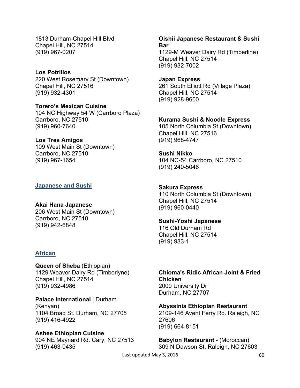1813 Durham-Chapel Hill Blvd Chapel Hill, NC 27514 (919) 967-0207

**Los Potrillos** 220 West Rosemary St (Downtown) Chapel Hill, NC 27516 (919) 932-4301

**Torero's Mexican Cuisine** 104 NC Highway 54 W (Carrboro Plaza) Carrboro, NC 27510 (919) 960-7640

**Los Tres Amigos** 109 West Main St (Downtown) Carrboro, NC 27510 (919) 967-1654

#### **Japanese and Sushi**

**Akai Hana Japanese** 206 West Main St (Downtown) Carrboro, NC 27510 (919) 942-6848

#### **African**

**Queen of Sheba** (Ethiopian) 1129 Weaver Dairy Rd (Timberlyne) Chapel Hill, NC 27514 (919) 932-4986

**Palace International** | Durham (Kenyan) 1104 Broad St. Durham, NC 27705 (919) 416-4922

**Ashee Ethiopian Cuisine** 904 NE Maynard Rd. Cary, NC 27513 (919) 463-0435

**Oishii Japanese Restaurant & Sushi Bar** 1129-M Weaver Dairy Rd (Timberline) Chapel Hill, NC 27514 (919) 932-7002

**Japan Express** 261 South Elliott Rd (Village Plaza) Chapel Hill, NC 27514 (919) 928-9600

**Kurama Sushi & Noodle Express**

105 North Columbia St (Downtown) Chapel Hill, NC 27516 (919) 968-4747

**Sushi Nikko** 104 NC-54 Carrboro, NC 27510 (919) 240-5046

**Sakura Express** 110 North Columbia St (Downtown) Chapel Hill, NC 27514 (919) 960-0440

**Sushi-Yoshi Japanese** 116 Old Durham Rd Chapel Hill, NC 27514 (919) 933-1

**Chioma's Ridic African Joint & Fried Chicken** 2000 University Dr Durham, NC 27707

**Abyssinia Ethiopian Restaurant** 2109-146 Avent Ferry Rd. Raleigh, NC 27606 (919) 664-8151

**Babylon Restaurant** - (Moroccan) 309 N Dawson St. Raleigh, NC 27603

Last updated May 3, 2016 **60**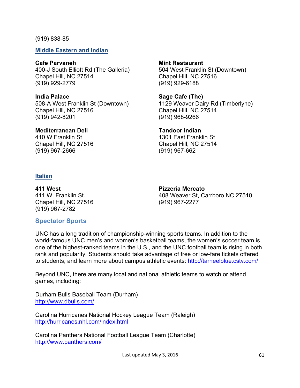#### (919) 838-85

**Middle Eastern and Indian**

## **Cafe Parvaneh**

400-J South Elliott Rd (The Galleria) Chapel Hill, NC 27514 (919) 929-2779

# **India Palace**

508-A West Franklin St (Downtown) Chapel Hill, NC 27516 (919) 942-8201

## **Mediterranean Deli**

410 W Franklin St Chapel Hill, NC 27516 (919) 967-2666

# **Mint Restaurant**

504 West Franklin St (Downtown) Chapel Hill, NC 27516 (919) 929-6188

## **Sage Cafe (The)** 1129 Weaver Dairy Rd (Timberlyne) Chapel Hill, NC 27514 (919) 968-9266

#### **Tandoor Indian** 1301 East Franklin St Chapel Hill, NC 27514 (919) 967-662

## **Italian**

**411 West** 411 W. Franklin St. Chapel Hill, NC 27516 (919) 967-2782

## **Pizzeria Mercato**  408 Weaver St, Carrboro NC 27510 (919) 967-2277

# **Spectator Sports**

UNC has a long tradition of championship-winning sports teams. In addition to the world-famous UNC men's and women's basketball teams, the women's soccer team is one of the highest-ranked teams in the U.S., and the UNC football team is rising in both rank and popularity. Students should take advantage of free or low-fare tickets offered to students, and learn more about campus athletic events: http://tarheelblue.cstv.com/

Beyond UNC, there are many local and national athletic teams to watch or attend games, including:

Durham Bulls Baseball Team (Durham) http://www.dbulls.com/

Carolina Hurricanes National Hockey League Team (Raleigh) http://hurricanes.nhl.com/index.html

Carolina Panthers National Football League Team (Charlotte) http://www.panthers.com/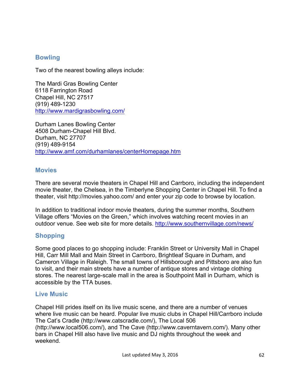## **Bowling**

Two of the nearest bowling alleys include:

The Mardi Gras Bowling Center 6118 Farrington Road Chapel Hill, NC 27517 (919) 489-1230 http://www.mardigrasbowling.com/

Durham Lanes Bowling Center 4508 Durham-Chapel Hill Blvd. Durham, NC 27707 (919) 489-9154 http://www.amf.com/durhamlanes/centerHomepage.htm

## **Movies**

There are several movie theaters in Chapel Hill and Carrboro, including the independent movie theater, the Chelsea, in the Timberlyne Shopping Center in Chapel Hill. To find a theater, visit http://movies.yahoo.com/ and enter your zip code to browse by location.

In addition to traditional indoor movie theaters, during the summer months, Southern Village offers "Movies on the Green," which involves watching recent movies in an outdoor venue. See web site for more details. http://www.southernvillage.com/news/

## **Shopping**

Some good places to go shopping include: Franklin Street or University Mall in Chapel Hill, Carr Mill Mall and Main Street in Carrboro, Brightleaf Square in Durham, and Cameron Village in Raleigh. The small towns of Hillsborough and Pittsboro are also fun to visit, and their main streets have a number of antique stores and vintage clothing stores. The nearest large-scale mall in the area is Southpoint Mall in Durham, which is accessible by the TTA buses.

## **Live Music**

Chapel Hill prides itself on its live music scene, and there are a number of venues where live music can be heard. Popular live music clubs in Chapel Hill/Carrboro include The Cat's Cradle (http://www.catscradle.com/), The Local 506 (http://www.local506.com/), and The Cave (http://www.caverntavern.com/). Many other bars in Chapel Hill also have live music and DJ nights throughout the week and weekend.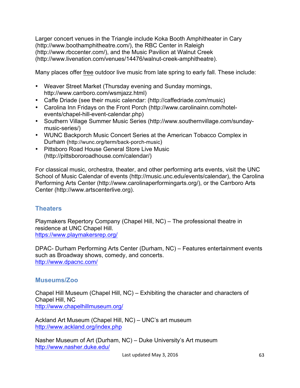Larger concert venues in the Triangle include Koka Booth Amphitheater in Cary (http://www.boothamphitheatre.com/), the RBC Center in Raleigh (http://www.rbccenter.com/), and the Music Pavilion at Walnut Creek (http://www.livenation.com/venues/14476/walnut-creek-amphitheatre).

Many places offer free outdoor live music from late spring to early fall. These include:

- Weaver Street Market (Thursday evening and Sunday mornings, http://www.carrboro.com/wsmjazz.html)
- Caffe Driade (see their music calendar: (http://caffedriade.com/music)
- Carolina Inn Fridays on the Front Porch (http://www.carolinainn.com/hotelevents/chapel-hill-event-calendar.php)
- Southern Village Summer Music Series (http://www.southernvillage.com/sundaymusic-series/)
- WUNC Backporch Music Concert Series at the American Tobacco Complex in Durham (http://wunc.org/term/back-porch-music)
- Pittsboro Road House General Store Live Music (http://pittsbororoadhouse.com/calendar/)

For classical music, orchestra, theater, and other performing arts events, visit the UNC School of Music Calendar of events (http://music.unc.edu/events/calendar), the Carolina Performing Arts Center (http://www.carolinaperformingarts.org/), or the Carrboro Arts Center (http://www.artscenterlive.org).

# **Theaters**

Playmakers Repertory Company (Chapel Hill, NC) – The professional theatre in residence at UNC Chapel Hill. https://www.playmakersrep.org/

DPAC- Durham Performing Arts Center (Durham, NC) – Features entertainment events such as Broadway shows, comedy, and concerts. http://www.dpacnc.com/

# **Museums/Zoo**

Chapel Hill Museum (Chapel Hill, NC) – Exhibiting the character and characters of Chapel Hill, NC http://www.chapelhillmuseum.org/

Ackland Art Museum (Chapel Hill, NC) – UNC's art museum http://www.ackland.org/index.php

Nasher Museum of Art (Durham, NC) – Duke University's Art museum http://www.nasher.duke.edu/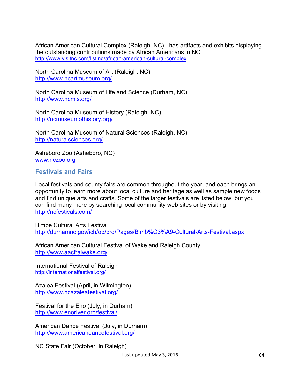African American Cultural Complex (Raleigh, NC) - has artifacts and exhibits displaying the outstanding contributions made by African Americans in NC http://www.visitnc.com/listing/african-american-cultural-complex

North Carolina Museum of Art (Raleigh, NC) http://www.ncartmuseum.org/

North Carolina Museum of Life and Science (Durham, NC) http://www.ncmls.org/

North Carolina Museum of History (Raleigh, NC) http://ncmuseumofhistory.org/

North Carolina Museum of Natural Sciences (Raleigh, NC) http://naturalsciences.org/

Asheboro Zoo (Asheboro, NC) www.nczoo.org

## **Festivals and Fairs**

Local festivals and county fairs are common throughout the year, and each brings an opportunity to learn more about local culture and heritage as well as sample new foods and find unique arts and crafts. Some of the larger festivals are listed below, but you can find many more by searching local community web sites or by visiting: http://ncfestivals.com/

Bimbe Cultural Arts Festival http://durhamnc.gov/ich/op/prd/Pages/Bimb%C3%A9-Cultural-Arts-Festival.aspx

African American Cultural Festival of Wake and Raleigh County http://www.aacfralwake.org/

International Festival of Raleigh http://internationalfestival.org/

Azalea Festival (April, in Wilmington) http://www.ncazaleafestival.org/

Festival for the Eno (July, in Durham) http://www.enoriver.org/festival/

American Dance Festival (July, in Durham) http://www.americandancefestival.org/

NC State Fair (October, in Raleigh)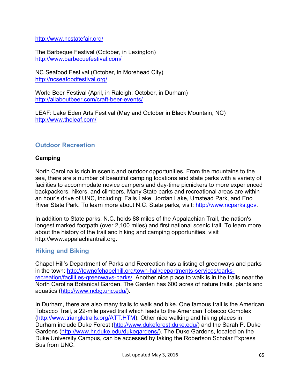## http://www.ncstatefair.org/

The Barbeque Festival (October, in Lexington) http://www.barbecuefestival.com/

NC Seafood Festival (October, in Morehead City) http://ncseafoodfestival.org/

World Beer Festival (April, in Raleigh; October, in Durham) http://allaboutbeer.com/craft-beer-events/

LEAF: Lake Eden Arts Festival (May and October in Black Mountain, NC) http://www.theleaf.com/

## **Outdoor Recreation**

## **Camping**

North Carolina is rich in scenic and outdoor opportunities. From the mountains to the sea, there are a number of beautiful camping locations and state parks with a variety of facilities to accommodate novice campers and day-time picnickers to more experienced backpackers, hikers, and climbers. Many State parks and recreational areas are within an hour's drive of UNC, including: Falls Lake, Jordan Lake, Umstead Park, and Eno River State Park. To learn more about N.C. State parks, visit: http://www.ncparks.gov.

In addition to State parks, N.C. holds 88 miles of the Appalachian Trail, the nation's longest marked footpath (over 2,100 miles) and first national scenic trail. To learn more about the history of the trail and hiking and camping opportunities, visit http://www.appalachiantrail.org.

## **Hiking and Biking**

Chapel Hill's Department of Parks and Recreation has a listing of greenways and parks in the town: http://townofchapelhill.org/town-hall/departments-services/parksrecreation/facilities-greenways-parks/. Another nice place to walk is in the trails near the North Carolina Botanical Garden. The Garden has 600 acres of nature trails, plants and aquatics (http://www.ncbg.unc.edu/).

In Durham, there are also many trails to walk and bike. One famous trail is the American Tobacco Trail, a 22-mile paved trail which leads to the American Tobacco Complex (http://www.triangletrails.org/ATT.HTM). Other nice walking and hiking places in Durham include Duke Forest (http://www.dukeforest.duke.edu/) and the Sarah P. Duke Gardens (http://www.hr.duke.edu/dukegardens/). The Duke Gardens, located on the Duke University Campus, can be accessed by taking the Robertson Scholar Express Bus from UNC.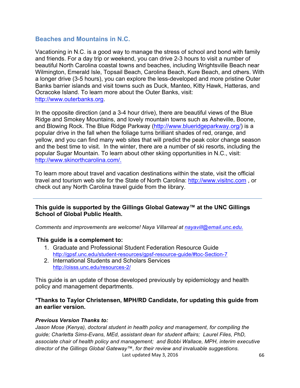## **Beaches and Mountains in N.C.**

Vacationing in N.C. is a good way to manage the stress of school and bond with family and friends. For a day trip or weekend, you can drive 2-3 hours to visit a number of beautiful North Carolina coastal towns and beaches, including Wrightsville Beach near Wilmington, Emerald Isle, Topsail Beach, Carolina Beach, Kure Beach, and others. With a longer drive (3-5 hours), you can explore the less-developed and more pristine Outer Banks barrier islands and visit towns such as Duck, Manteo, Kitty Hawk, Hatteras, and Ocracoke Island. To learn more about the Outer Banks, visit: http://www.outerbanks.org.

In the opposite direction (and a 3-4 hour drive), there are beautiful views of the Blue Ridge and Smokey Mountains, and lovely mountain towns such as Asheville, Boone, and Blowing Rock. The Blue Ridge Parkway (http://www.blueridgeparkway.org/) is a popular drive in the fall when the foliage turns brilliant shades of red, orange, and yellow, and you can find many web sites that will predict the peak color change season and the best time to visit. In the winter, there are a number of ski resorts, including the popular Sugar Mountain. To learn about other skiing opportunities in N.C., visit: http://www.skinorthcarolina.com/.

To learn more about travel and vacation destinations within the state, visit the official travel and tourism web site for the State of North Carolina: http://www.visitnc.com , or check out any North Carolina travel guide from the library.

## **This guide is supported by the Gillings Global Gateway™ at the UNC Gillings School of Global Public Health.**

*Comments and improvements are welcome! Naya Villarreal at nayavill@email.unc.edu.*

#### **This guide is a complement to:**

- 1. Graduate and Professional Student Federation Resource Guide http://gpsf.unc.edu/student-resources/gpsf-resource-guide/#toc-Section-7
- 2. International Students and Scholars Services http://oisss.unc.edu/resources-2/

This guide is an update of those developed previously by epidemiology and health policy and management departments.

## **\*Thanks to Taylor Christensen, MPH/RD Candidate, for updating this guide from an earlier version.**

#### *Previous Version Thanks to:*

Last updated May 3, 2016 **66** *Jason Mose (Kenya), doctoral student in health policy and management, for compiling the guide; Charletta Sims-Evans, MEd, assistant dean for student affairs; Laurel Files, PhD, associate chair of health policy and management; and Bobbi Wallace, MPH, interim executive director of the Gillings Global Gateway™, for their review and invaluable suggestions.*